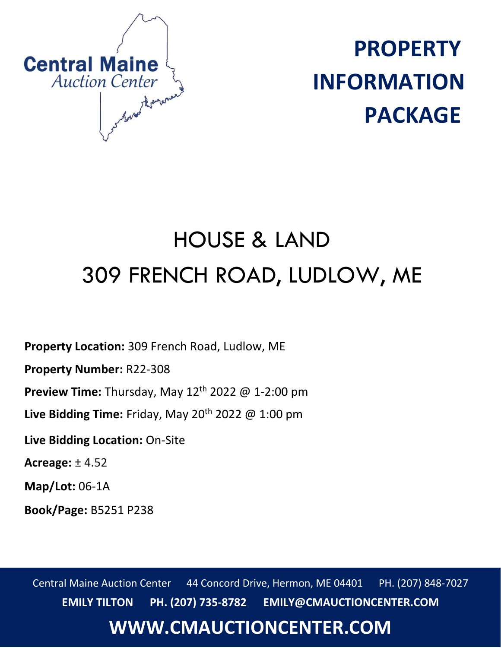

**PROPERTY INFORMATION PACKAGE**

# HOUSE & LAND 309 FRENCH ROAD, LUDLOW, ME

**Property Location:** 309 French Road, Ludlow, ME

**Property Number:** R22-308

**Preview Time:** Thursday, May 12th 2022 @ 1-2:00 pm

**Live Bidding Time:** Friday, May 20<sup>th</sup> 2022 @ 1:00 pm

**Live Bidding Location:** On-Site

**Acreage:** ± 4.52

**Map/Lot:** 06-1A

**Book/Page:** B5251 P238

Central Maine Auction Center 44 Concord Drive, Hermon, ME 04401 PH. (207) 848-7027 **EMILY TILTON PH. (207) 735-8782 EMILY@CMAUCTIONCENTER.COM**

## **WWW.CMAUCTIONCENTER.COM**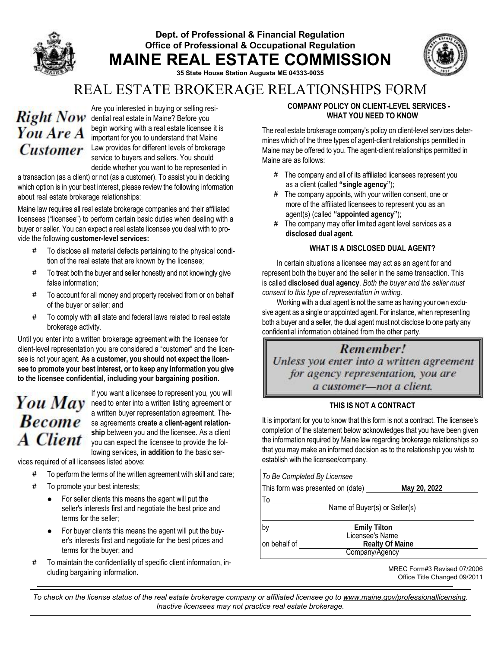### Dept. of Professional & Financial Regulation Office of Professional & Occupational Regulation MAINE REAL ESTATE COMMISSION



35 State House Station Augusta ME 04333-0035

## REAL ESTATE BROKERAGE RELATIONSHIPS FORM

# You Are A

Are you interested in buying or selling resi-Right Now dential real estate in Maine? Before you begin working with a real estate licensee it is important for you to understand that Maine Customer Law provides for different levels of brokerage service to buyers and sellers. You should decide whether you want to be represented in

a transaction (as a client) or not (as a customer). To assist you in deciding which option is in your best interest, please review the following information about real estate brokerage relationships:

Maine law requires all real estate brokerage companies and their affiliated licensees ("licensee") to perform certain basic duties when dealing with a buyer or seller. You can expect a real estate licensee you deal with to provide the following customer-level services:

- **#** To disclose all material defects pertaining to the physical condition of the real estate that are known by the licensee;
- **#** To treat both the buyer and seller honestly and not knowingly give false information;
- **#** To account for all money and property received from or on behalf of the buyer or seller; and
- **#** To comply with all state and federal laws related to real estate brokerage activity.

Until you enter into a written brokerage agreement with the licensee for client-level representation you are considered a "customer" and the licensee is not your agent. As a customer, you should not expect the licensee to promote your best interest, or to keep any information you give to the licensee confidential, including your bargaining position.

# **Become A** Client

If you want a licensee to represent you, you will You  $May$  need to enter into a written listing agreement or a written buyer representation agreement. These agreements create a client-agent relationship between you and the licensee. As a client you can expect the licensee to provide the following services, in addition to the basic ser-

vices required of all licensees listed above:

- **#** To perform the terms of the written agreement with skill and care;
- **#** To promote your best interests;
	- For seller clients this means the agent will put the seller's interests first and negotiate the best price and terms for the seller;
	- For buyer clients this means the agent will put the buyer's interests first and negotiate for the best prices and terms for the buyer; and
- **#** To maintain the confidentiality of specific client information, including bargaining information.

#### COMPANY POLICY ON CLIENT-LEVEL SERVICES -WHAT YOU NEED TO KNOW

The real estate brokerage company's policy on client-level services determines which of the three types of agent-client relationships permitted in Maine may be offered to you. The agent-client relationships permitted in Maine are as follows:

- **#** The company and all of its affiliated licensees represent you as a client (called "single agency");
- **#** The company appoints, with your written consent, one or more of the affiliated licensees to represent you as an agent(s) (called "appointed agency");
- **#** The company may offer limited agent level services as a disclosed dual agent.

#### WHAT IS A DISCLOSED DUAL AGENT?

In certain situations a licensee may act as an agent for and represent both the buyer and the seller in the same transaction. This is called disclosed dual agency. *Both the buyer and the seller must consent to this type of representation in writing.*

Working with a dual agent is not the same as having your own exclusive agent as a single or appointed agent. For instance, when representing both a buyer and a seller, the dual agent must not disclose to one party any confidential information obtained from the other party.

## Remember!

Unless you enter into a written agreement for agency representation, you are a customer-not a client.

#### THIS IS NOT A CONTRACT

It is important for you to know that this form is not a contract. The licensee's completion of the statement below acknowledges that you have been given the information required by Maine law regarding brokerage relationships so that you may make an informed decision as to the relationship you wish to establish with the licensee/company.

|                                   | To Be Completed By Licensee   |  |  |  |  |  |  |  |
|-----------------------------------|-------------------------------|--|--|--|--|--|--|--|
| This form was presented on (date) | May 20, 2022                  |  |  |  |  |  |  |  |
| To                                |                               |  |  |  |  |  |  |  |
|                                   | Name of Buyer(s) or Seller(s) |  |  |  |  |  |  |  |
|                                   |                               |  |  |  |  |  |  |  |
| b١                                | Emily Tilton                  |  |  |  |  |  |  |  |
|                                   | Licensee's Name               |  |  |  |  |  |  |  |
| on behalf of                      | <b>Realty Of Maine</b>        |  |  |  |  |  |  |  |
|                                   | Company/Agency                |  |  |  |  |  |  |  |

MREC Form#3 Revised 07/2006 Office Title Changed 09/2011

*To check on the license status of the real estate brokerage company or affiliated licensee go to www.maine.gov/professionallicensing. Inactive licensees may not practice real estate brokerage.*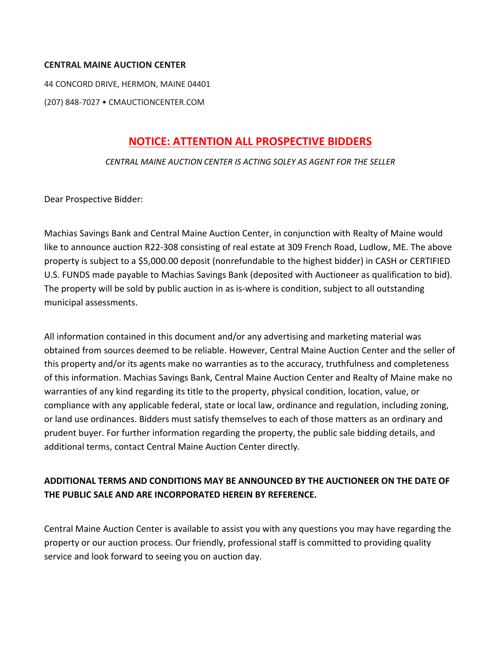#### **CENTRAL MAINE AUCTION CENTER**

44 CONCORD DRIVE, HERMON, MAINE 04401

(207) 848-7027 • CMAUCTIONCENTER.COM

#### **NOTICE: ATTENTION ALL PROSPECTIVE BIDDERS**

*CENTRAL MAINE AUCTION CENTER IS ACTING SOLEY AS AGENT FOR THE SELLER*

Dear Prospective Bidder:

Machias Savings Bank and Central Maine Auction Center, in conjunction with Realty of Maine would like to announce auction R22-308 consisting of real estate at 309 French Road, Ludlow, ME. The above property is subject to a \$5,000.00 deposit (nonrefundable to the highest bidder) in CASH or CERTIFIED U.S. FUNDS made payable to Machias Savings Bank (deposited with Auctioneer as qualification to bid). The property will be sold by public auction in as is-where is condition, subject to all outstanding municipal assessments.

All information contained in this document and/or any advertising and marketing material was obtained from sources deemed to be reliable. However, Central Maine Auction Center and the seller of this property and/or its agents make no warranties as to the accuracy, truthfulness and completeness of this information. Machias Savings Bank, Central Maine Auction Center and Realty of Maine make no warranties of any kind regarding its title to the property, physical condition, location, value, or compliance with any applicable federal, state or local law, ordinance and regulation, including zoning, or land use ordinances. Bidders must satisfy themselves to each of those matters as an ordinary and prudent buyer. For further information regarding the property, the public sale bidding details, and additional terms, contact Central Maine Auction Center directly.

#### **ADDITIONAL TERMS AND CONDITIONS MAY BE ANNOUNCED BY THE AUCTIONEER ON THE DATE OF THE PUBLIC SALE AND ARE INCORPORATED HEREIN BY REFERENCE.**

Central Maine Auction Center is available to assist you with any questions you may have regarding the property or our auction process. Our friendly, professional staff is committed to providing quality service and look forward to seeing you on auction day.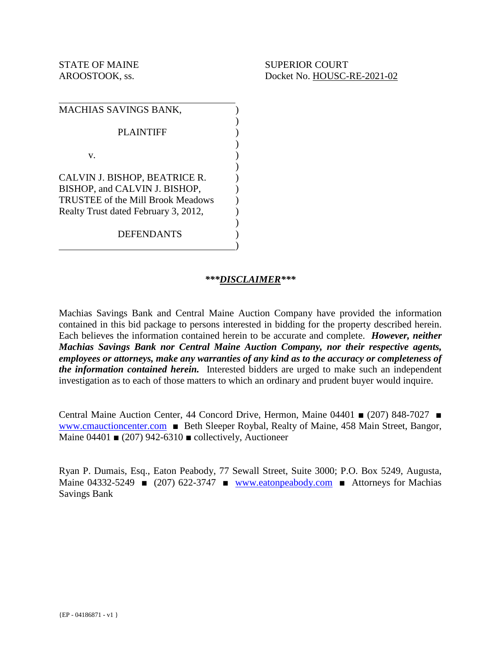| <b>MACHIAS SAVINGS BANK,</b>             |  |
|------------------------------------------|--|
|                                          |  |
| PLAINTIFF                                |  |
| V.                                       |  |
|                                          |  |
| CALVIN J. BISHOP, BEATRICE R.            |  |
| BISHOP, and CALVIN J. BISHOP,            |  |
| <b>TRUSTEE of the Mill Brook Meadows</b> |  |
| Realty Trust dated February 3, 2012,     |  |
|                                          |  |
| <b>DEFENDANTS</b>                        |  |

#### *\*\*\*DISCLAIMER\*\*\**

Machias Savings Bank and Central Maine Auction Company have provided the information contained in this bid package to persons interested in bidding for the property described herein. Each believes the information contained herein to be accurate and complete. *However, neither Machias Savings Bank nor Central Maine Auction Company, nor their respective agents, employees or attorneys, make any warranties of any kind as to the accuracy or completeness of the information contained herein.* Interested bidders are urged to make such an independent investigation as to each of those matters to which an ordinary and prudent buyer would inquire.

Central Maine Auction Center, 44 Concord Drive, Hermon, Maine 04401 ■ (207) 848-7027 ■ www.cmauctioncenter.com ■ Beth Sleeper Roybal, Realty of Maine, 458 Main Street, Bangor, Maine  $04401 \equiv (207) 942-6310 \equiv \text{collectively, Auctioneer}$ 

Ryan P. Dumais, Esq., Eaton Peabody, 77 Sewall Street, Suite 3000; P.O. Box 5249, Augusta, Maine 04332-5249 ■ (207) 622-3747 ■ www.eatonpeabody.com ■ Attorneys for Machias Savings Bank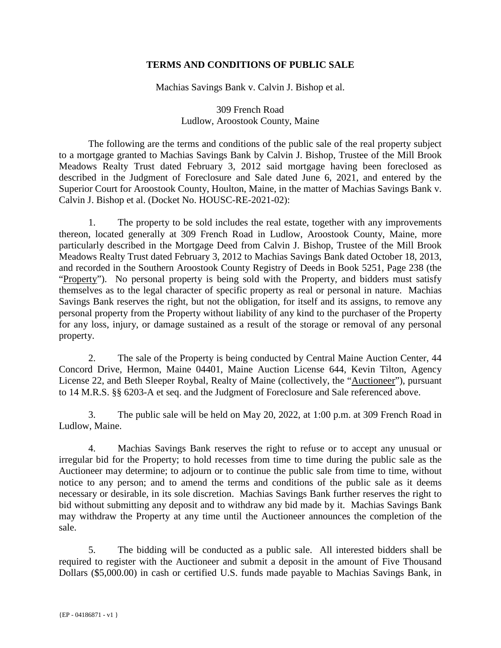#### **TERMS AND CONDITIONS OF PUBLIC SALE**

Machias Savings Bank v. Calvin J. Bishop et al.

#### 309 French Road Ludlow, Aroostook County, Maine

 The following are the terms and conditions of the public sale of the real property subject to a mortgage granted to Machias Savings Bank by Calvin J. Bishop, Trustee of the Mill Brook Meadows Realty Trust dated February 3, 2012 said mortgage having been foreclosed as described in the Judgment of Foreclosure and Sale dated June 6, 2021, and entered by the Superior Court for Aroostook County, Houlton, Maine, in the matter of Machias Savings Bank v. Calvin J. Bishop et al. (Docket No. HOUSC-RE-2021-02):

1. The property to be sold includes the real estate, together with any improvements thereon, located generally at 309 French Road in Ludlow, Aroostook County, Maine, more particularly described in the Mortgage Deed from Calvin J. Bishop, Trustee of the Mill Brook Meadows Realty Trust dated February 3, 2012 to Machias Savings Bank dated October 18, 2013, and recorded in the Southern Aroostook County Registry of Deeds in Book 5251, Page 238 (the "Property"). No personal property is being sold with the Property, and bidders must satisfy themselves as to the legal character of specific property as real or personal in nature. Machias Savings Bank reserves the right, but not the obligation, for itself and its assigns, to remove any personal property from the Property without liability of any kind to the purchaser of the Property for any loss, injury, or damage sustained as a result of the storage or removal of any personal property.

2. The sale of the Property is being conducted by Central Maine Auction Center, 44 Concord Drive, Hermon, Maine 04401, Maine Auction License 644, Kevin Tilton, Agency License 22, and Beth Sleeper Roybal, Realty of Maine (collectively, the "Auctioneer"), pursuant to 14 M.R.S. §§ 6203-A et seq. and the Judgment of Foreclosure and Sale referenced above.

3. The public sale will be held on May 20, 2022, at 1:00 p.m. at 309 French Road in Ludlow, Maine.

4. Machias Savings Bank reserves the right to refuse or to accept any unusual or irregular bid for the Property; to hold recesses from time to time during the public sale as the Auctioneer may determine; to adjourn or to continue the public sale from time to time, without notice to any person; and to amend the terms and conditions of the public sale as it deems necessary or desirable, in its sole discretion. Machias Savings Bank further reserves the right to bid without submitting any deposit and to withdraw any bid made by it. Machias Savings Bank may withdraw the Property at any time until the Auctioneer announces the completion of the sale.

5. The bidding will be conducted as a public sale. All interested bidders shall be required to register with the Auctioneer and submit a deposit in the amount of Five Thousand Dollars (\$5,000.00) in cash or certified U.S. funds made payable to Machias Savings Bank, in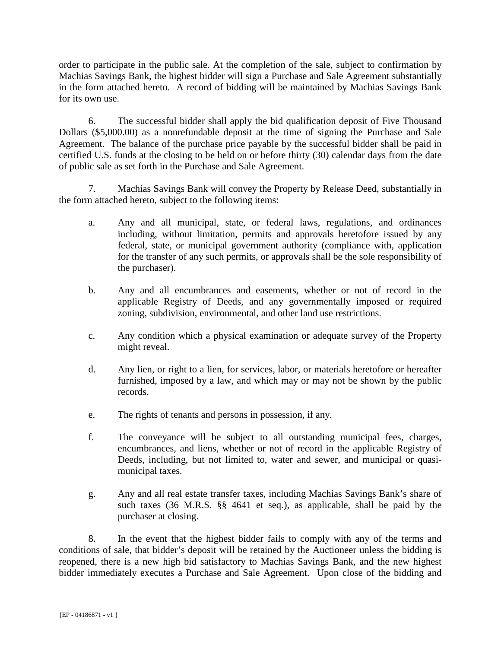order to participate in the public sale. At the completion of the sale, subject to confirmation by Machias Savings Bank, the highest bidder will sign a Purchase and Sale Agreement substantially in the form attached hereto. A record of bidding will be maintained by Machias Savings Bank for its own use.

6. The successful bidder shall apply the bid qualification deposit of Five Thousand Dollars (\$5,000.00) as a nonrefundable deposit at the time of signing the Purchase and Sale Agreement. The balance of the purchase price payable by the successful bidder shall be paid in certified U.S. funds at the closing to be held on or before thirty (30) calendar days from the date of public sale as set forth in the Purchase and Sale Agreement.

7. Machias Savings Bank will convey the Property by Release Deed, substantially in the form attached hereto, subject to the following items:

- a. Any and all municipal, state, or federal laws, regulations, and ordinances including, without limitation, permits and approvals heretofore issued by any federal, state, or municipal government authority (compliance with, application for the transfer of any such permits, or approvals shall be the sole responsibility of the purchaser).
- b. Any and all encumbrances and easements, whether or not of record in the applicable Registry of Deeds, and any governmentally imposed or required zoning, subdivision, environmental, and other land use restrictions.
- c. Any condition which a physical examination or adequate survey of the Property might reveal.
- d. Any lien, or right to a lien, for services, labor, or materials heretofore or hereafter furnished, imposed by a law, and which may or may not be shown by the public records.
- e. The rights of tenants and persons in possession, if any.
- f. The conveyance will be subject to all outstanding municipal fees, charges, encumbrances, and liens, whether or not of record in the applicable Registry of Deeds, including, but not limited to, water and sewer, and municipal or quasimunicipal taxes.
- g. Any and all real estate transfer taxes, including Machias Savings Bank's share of such taxes (36 M.R.S. §§ 4641 et seq.), as applicable, shall be paid by the purchaser at closing.

8. In the event that the highest bidder fails to comply with any of the terms and conditions of sale, that bidder's deposit will be retained by the Auctioneer unless the bidding is reopened, there is a new high bid satisfactory to Machias Savings Bank, and the new highest bidder immediately executes a Purchase and Sale Agreement. Upon close of the bidding and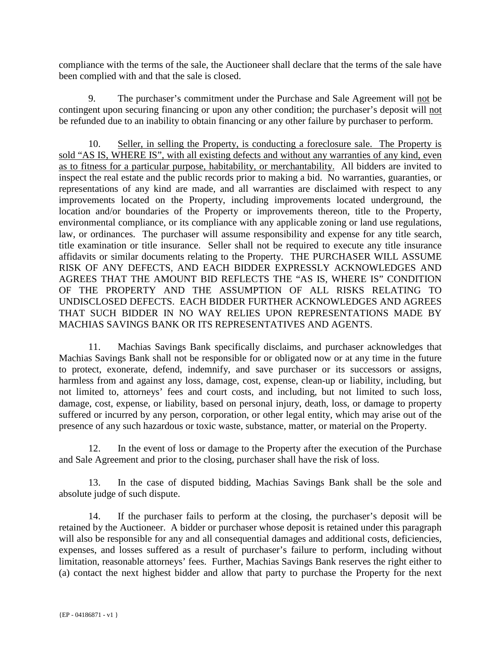compliance with the terms of the sale, the Auctioneer shall declare that the terms of the sale have been complied with and that the sale is closed.

9. The purchaser's commitment under the Purchase and Sale Agreement will not be contingent upon securing financing or upon any other condition; the purchaser's deposit will not be refunded due to an inability to obtain financing or any other failure by purchaser to perform.

10. Seller, in selling the Property, is conducting a foreclosure sale. The Property is sold "AS IS, WHERE IS", with all existing defects and without any warranties of any kind, even as to fitness for a particular purpose, habitability, or merchantability. All bidders are invited to inspect the real estate and the public records prior to making a bid. No warranties, guaranties, or representations of any kind are made, and all warranties are disclaimed with respect to any improvements located on the Property, including improvements located underground, the location and/or boundaries of the Property or improvements thereon, title to the Property, environmental compliance, or its compliance with any applicable zoning or land use regulations, law, or ordinances. The purchaser will assume responsibility and expense for any title search, title examination or title insurance. Seller shall not be required to execute any title insurance affidavits or similar documents relating to the Property. THE PURCHASER WILL ASSUME RISK OF ANY DEFECTS, AND EACH BIDDER EXPRESSLY ACKNOWLEDGES AND AGREES THAT THE AMOUNT BID REFLECTS THE "AS IS, WHERE IS" CONDITION OF THE PROPERTY AND THE ASSUMPTION OF ALL RISKS RELATING TO UNDISCLOSED DEFECTS. EACH BIDDER FURTHER ACKNOWLEDGES AND AGREES THAT SUCH BIDDER IN NO WAY RELIES UPON REPRESENTATIONS MADE BY MACHIAS SAVINGS BANK OR ITS REPRESENTATIVES AND AGENTS.

11. Machias Savings Bank specifically disclaims, and purchaser acknowledges that Machias Savings Bank shall not be responsible for or obligated now or at any time in the future to protect, exonerate, defend, indemnify, and save purchaser or its successors or assigns, harmless from and against any loss, damage, cost, expense, clean-up or liability, including, but not limited to, attorneys' fees and court costs, and including, but not limited to such loss, damage, cost, expense, or liability, based on personal injury, death, loss, or damage to property suffered or incurred by any person, corporation, or other legal entity, which may arise out of the presence of any such hazardous or toxic waste, substance, matter, or material on the Property.

12. In the event of loss or damage to the Property after the execution of the Purchase and Sale Agreement and prior to the closing, purchaser shall have the risk of loss.

13. In the case of disputed bidding, Machias Savings Bank shall be the sole and absolute judge of such dispute.

14. If the purchaser fails to perform at the closing, the purchaser's deposit will be retained by the Auctioneer. A bidder or purchaser whose deposit is retained under this paragraph will also be responsible for any and all consequential damages and additional costs, deficiencies, expenses, and losses suffered as a result of purchaser's failure to perform, including without limitation, reasonable attorneys' fees. Further, Machias Savings Bank reserves the right either to (a) contact the next highest bidder and allow that party to purchase the Property for the next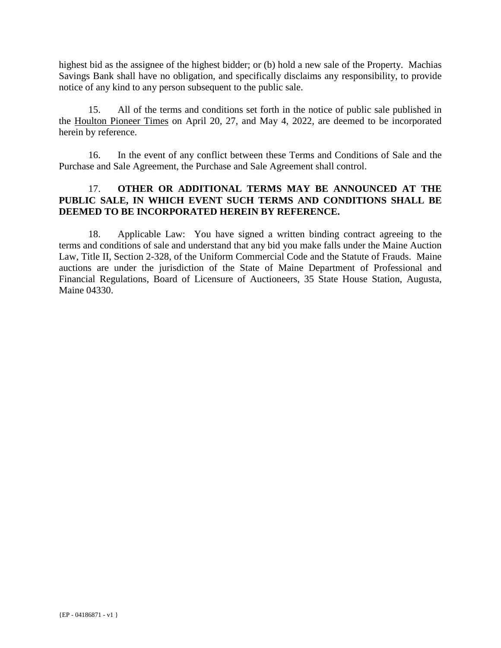highest bid as the assignee of the highest bidder; or (b) hold a new sale of the Property. Machias Savings Bank shall have no obligation, and specifically disclaims any responsibility, to provide notice of any kind to any person subsequent to the public sale.

15. All of the terms and conditions set forth in the notice of public sale published in the Houlton Pioneer Times on April 20, 27, and May 4, 2022, are deemed to be incorporated herein by reference.

16. In the event of any conflict between these Terms and Conditions of Sale and the Purchase and Sale Agreement, the Purchase and Sale Agreement shall control.

#### 17. **OTHER OR ADDITIONAL TERMS MAY BE ANNOUNCED AT THE PUBLIC SALE, IN WHICH EVENT SUCH TERMS AND CONDITIONS SHALL BE DEEMED TO BE INCORPORATED HEREIN BY REFERENCE.**

18. Applicable Law: You have signed a written binding contract agreeing to the terms and conditions of sale and understand that any bid you make falls under the Maine Auction Law, Title II, Section 2-328, of the Uniform Commercial Code and the Statute of Frauds. Maine auctions are under the jurisdiction of the State of Maine Department of Professional and Financial Regulations, Board of Licensure of Auctioneers, 35 State House Station, Augusta, Maine 04330.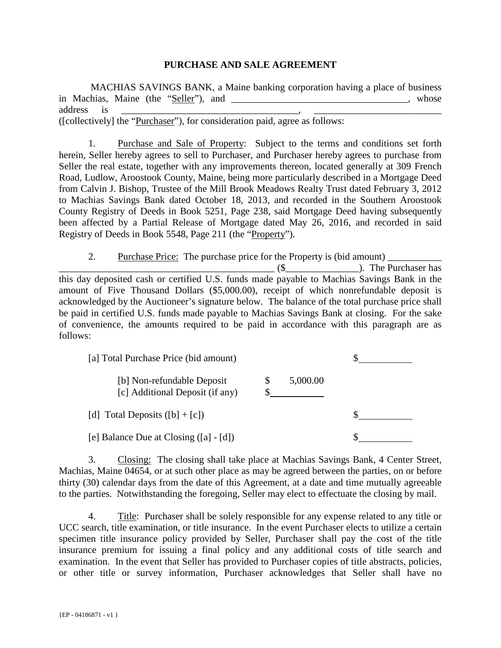#### **PURCHASE AND SALE AGREEMENT**

 MACHIAS SAVINGS BANK, a Maine banking corporation having a place of business in Machias, Maine (the "Seller"), and \_\_\_\_\_\_\_\_\_\_\_\_\_\_\_\_\_\_\_\_\_\_\_\_\_\_\_\_\_\_\_\_, whose address is \_\_\_\_\_\_\_\_\_\_\_\_\_\_\_\_\_\_\_\_\_\_\_\_\_\_\_\_\_\_\_\_\_\_\_\_, \_\_\_\_\_\_\_\_\_\_\_\_\_\_\_\_\_\_\_\_\_\_\_\_\_\_ ([collectively] the "Purchaser"), for consideration paid, agree as follows:

1. Purchase and Sale of Property: Subject to the terms and conditions set forth herein, Seller hereby agrees to sell to Purchaser, and Purchaser hereby agrees to purchase from Seller the real estate, together with any improvements thereon, located generally at 309 French Road, Ludlow, Aroostook County, Maine, being more particularly described in a Mortgage Deed from Calvin J. Bishop, Trustee of the Mill Brook Meadows Realty Trust dated February 3, 2012 to Machias Savings Bank dated October 18, 2013, and recorded in the Southern Aroostook County Registry of Deeds in Book 5251, Page 238, said Mortgage Deed having subsequently been affected by a Partial Release of Mortgage dated May 26, 2016, and recorded in said Registry of Deeds in Book 5548, Page 211 (the "Property").

2. Purchase Price: The purchase price for the Property is (bid amount)  $($   $\Diamond$   $)$   $\Box$  ( $\Diamond$   $)$   $\Box$   $\Box$ ). The Purchaser has this day deposited cash or certified U.S. funds made payable to Machias Savings Bank in the amount of Five Thousand Dollars (\$5,000.00), receipt of which nonrefundable deposit is acknowledged by the Auctioneer's signature below. The balance of the total purchase price shall be paid in certified U.S. funds made payable to Machias Savings Bank at closing. For the sake of convenience, the amounts required to be paid in accordance with this paragraph are as follows:

| [a] Total Purchase Price (bid amount)                         |          |  |
|---------------------------------------------------------------|----------|--|
| [b] Non-refundable Deposit<br>[c] Additional Deposit (if any) | 5,000.00 |  |
| [d] Total Deposits $([b] + [c])$                              |          |  |
| [e] Balance Due at Closing $([a] - [d])$                      |          |  |

3. Closing: The closing shall take place at Machias Savings Bank, 4 Center Street, Machias, Maine 04654, or at such other place as may be agreed between the parties, on or before thirty (30) calendar days from the date of this Agreement, at a date and time mutually agreeable to the parties. Notwithstanding the foregoing, Seller may elect to effectuate the closing by mail.

4. Title: Purchaser shall be solely responsible for any expense related to any title or UCC search, title examination, or title insurance. In the event Purchaser elects to utilize a certain specimen title insurance policy provided by Seller, Purchaser shall pay the cost of the title insurance premium for issuing a final policy and any additional costs of title search and examination. In the event that Seller has provided to Purchaser copies of title abstracts, policies, or other title or survey information, Purchaser acknowledges that Seller shall have no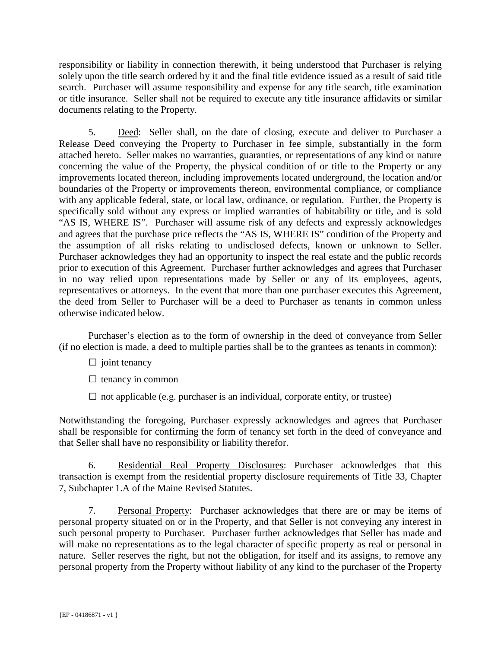responsibility or liability in connection therewith, it being understood that Purchaser is relying solely upon the title search ordered by it and the final title evidence issued as a result of said title search. Purchaser will assume responsibility and expense for any title search, title examination or title insurance. Seller shall not be required to execute any title insurance affidavits or similar documents relating to the Property.

5. Deed: Seller shall, on the date of closing, execute and deliver to Purchaser a Release Deed conveying the Property to Purchaser in fee simple, substantially in the form attached hereto. Seller makes no warranties, guaranties, or representations of any kind or nature concerning the value of the Property, the physical condition of or title to the Property or any improvements located thereon, including improvements located underground, the location and/or boundaries of the Property or improvements thereon, environmental compliance, or compliance with any applicable federal, state, or local law, ordinance, or regulation. Further, the Property is specifically sold without any express or implied warranties of habitability or title, and is sold "AS IS, WHERE IS". Purchaser will assume risk of any defects and expressly acknowledges and agrees that the purchase price reflects the "AS IS, WHERE IS" condition of the Property and the assumption of all risks relating to undisclosed defects, known or unknown to Seller. Purchaser acknowledges they had an opportunity to inspect the real estate and the public records prior to execution of this Agreement. Purchaser further acknowledges and agrees that Purchaser in no way relied upon representations made by Seller or any of its employees, agents, representatives or attorneys. In the event that more than one purchaser executes this Agreement, the deed from Seller to Purchaser will be a deed to Purchaser as tenants in common unless otherwise indicated below.

 Purchaser's election as to the form of ownership in the deed of conveyance from Seller (if no election is made, a deed to multiple parties shall be to the grantees as tenants in common):

- $\Box$  joint tenancy
- $\square$  tenancy in common
- $\Box$  not applicable (e.g. purchaser is an individual, corporate entity, or trustee)

Notwithstanding the foregoing, Purchaser expressly acknowledges and agrees that Purchaser shall be responsible for confirming the form of tenancy set forth in the deed of conveyance and that Seller shall have no responsibility or liability therefor.

6. Residential Real Property Disclosures: Purchaser acknowledges that this transaction is exempt from the residential property disclosure requirements of Title 33, Chapter 7, Subchapter 1.A of the Maine Revised Statutes.

7. Personal Property: Purchaser acknowledges that there are or may be items of personal property situated on or in the Property, and that Seller is not conveying any interest in such personal property to Purchaser. Purchaser further acknowledges that Seller has made and will make no representations as to the legal character of specific property as real or personal in nature. Seller reserves the right, but not the obligation, for itself and its assigns, to remove any personal property from the Property without liability of any kind to the purchaser of the Property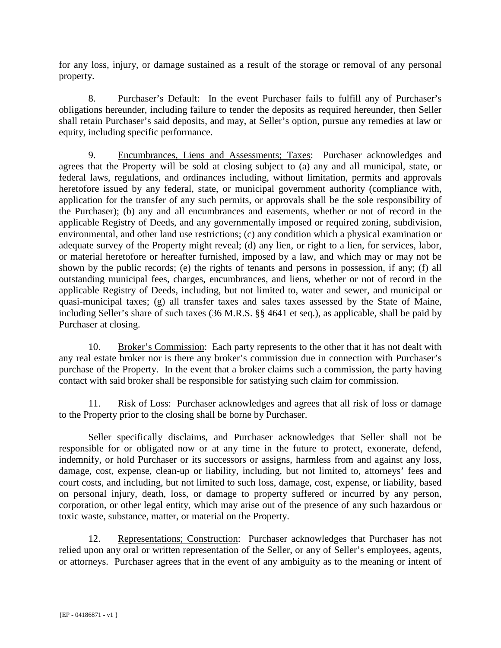for any loss, injury, or damage sustained as a result of the storage or removal of any personal property.

8. Purchaser's Default: In the event Purchaser fails to fulfill any of Purchaser's obligations hereunder, including failure to tender the deposits as required hereunder, then Seller shall retain Purchaser's said deposits, and may, at Seller's option, pursue any remedies at law or equity, including specific performance.

9. Encumbrances, Liens and Assessments; Taxes: Purchaser acknowledges and agrees that the Property will be sold at closing subject to (a) any and all municipal, state, or federal laws, regulations, and ordinances including, without limitation, permits and approvals heretofore issued by any federal, state, or municipal government authority (compliance with, application for the transfer of any such permits, or approvals shall be the sole responsibility of the Purchaser); (b) any and all encumbrances and easements, whether or not of record in the applicable Registry of Deeds, and any governmentally imposed or required zoning, subdivision, environmental, and other land use restrictions; (c) any condition which a physical examination or adequate survey of the Property might reveal; (d) any lien, or right to a lien, for services, labor, or material heretofore or hereafter furnished, imposed by a law, and which may or may not be shown by the public records; (e) the rights of tenants and persons in possession, if any; (f) all outstanding municipal fees, charges, encumbrances, and liens, whether or not of record in the applicable Registry of Deeds, including, but not limited to, water and sewer, and municipal or quasi-municipal taxes; (g) all transfer taxes and sales taxes assessed by the State of Maine, including Seller's share of such taxes (36 M.R.S. §§ 4641 et seq.), as applicable, shall be paid by Purchaser at closing.

10. Broker's Commission: Each party represents to the other that it has not dealt with any real estate broker nor is there any broker's commission due in connection with Purchaser's purchase of the Property. In the event that a broker claims such a commission, the party having contact with said broker shall be responsible for satisfying such claim for commission.

11. Risk of Loss: Purchaser acknowledges and agrees that all risk of loss or damage to the Property prior to the closing shall be borne by Purchaser.

Seller specifically disclaims, and Purchaser acknowledges that Seller shall not be responsible for or obligated now or at any time in the future to protect, exonerate, defend, indemnify, or hold Purchaser or its successors or assigns, harmless from and against any loss, damage, cost, expense, clean-up or liability, including, but not limited to, attorneys' fees and court costs, and including, but not limited to such loss, damage, cost, expense, or liability, based on personal injury, death, loss, or damage to property suffered or incurred by any person, corporation, or other legal entity, which may arise out of the presence of any such hazardous or toxic waste, substance, matter, or material on the Property.

12. Representations; Construction: Purchaser acknowledges that Purchaser has not relied upon any oral or written representation of the Seller, or any of Seller's employees, agents, or attorneys. Purchaser agrees that in the event of any ambiguity as to the meaning or intent of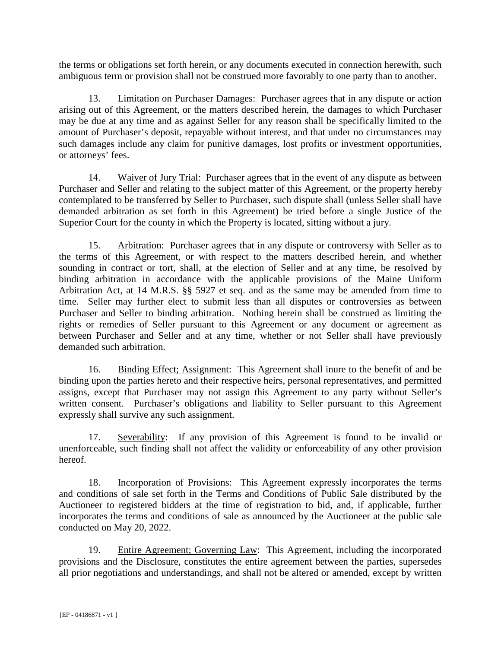the terms or obligations set forth herein, or any documents executed in connection herewith, such ambiguous term or provision shall not be construed more favorably to one party than to another.

13. Limitation on Purchaser Damages: Purchaser agrees that in any dispute or action arising out of this Agreement, or the matters described herein, the damages to which Purchaser may be due at any time and as against Seller for any reason shall be specifically limited to the amount of Purchaser's deposit, repayable without interest, and that under no circumstances may such damages include any claim for punitive damages, lost profits or investment opportunities, or attorneys' fees.

14. Waiver of Jury Trial: Purchaser agrees that in the event of any dispute as between Purchaser and Seller and relating to the subject matter of this Agreement, or the property hereby contemplated to be transferred by Seller to Purchaser, such dispute shall (unless Seller shall have demanded arbitration as set forth in this Agreement) be tried before a single Justice of the Superior Court for the county in which the Property is located, sitting without a jury.

15. Arbitration: Purchaser agrees that in any dispute or controversy with Seller as to the terms of this Agreement, or with respect to the matters described herein, and whether sounding in contract or tort, shall, at the election of Seller and at any time, be resolved by binding arbitration in accordance with the applicable provisions of the Maine Uniform Arbitration Act, at 14 M.R.S. §§ 5927 et seq. and as the same may be amended from time to time. Seller may further elect to submit less than all disputes or controversies as between Purchaser and Seller to binding arbitration. Nothing herein shall be construed as limiting the rights or remedies of Seller pursuant to this Agreement or any document or agreement as between Purchaser and Seller and at any time, whether or not Seller shall have previously demanded such arbitration.

16. Binding Effect; Assignment: This Agreement shall inure to the benefit of and be binding upon the parties hereto and their respective heirs, personal representatives, and permitted assigns, except that Purchaser may not assign this Agreement to any party without Seller's written consent. Purchaser's obligations and liability to Seller pursuant to this Agreement expressly shall survive any such assignment.

17. Severability: If any provision of this Agreement is found to be invalid or unenforceable, such finding shall not affect the validity or enforceability of any other provision hereof.

18. Incorporation of Provisions: This Agreement expressly incorporates the terms and conditions of sale set forth in the Terms and Conditions of Public Sale distributed by the Auctioneer to registered bidders at the time of registration to bid, and, if applicable, further incorporates the terms and conditions of sale as announced by the Auctioneer at the public sale conducted on May 20, 2022.

19. Entire Agreement; Governing Law: This Agreement, including the incorporated provisions and the Disclosure, constitutes the entire agreement between the parties, supersedes all prior negotiations and understandings, and shall not be altered or amended, except by written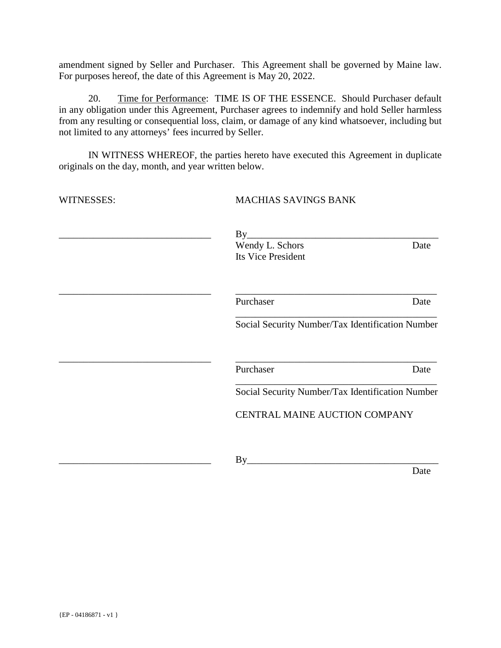amendment signed by Seller and Purchaser. This Agreement shall be governed by Maine law. For purposes hereof, the date of this Agreement is May 20, 2022.

20. Time for Performance: TIME IS OF THE ESSENCE. Should Purchaser default in any obligation under this Agreement, Purchaser agrees to indemnify and hold Seller harmless from any resulting or consequential loss, claim, or damage of any kind whatsoever, including but not limited to any attorneys' fees incurred by Seller.

IN WITNESS WHEREOF, the parties hereto have executed this Agreement in duplicate originals on the day, month, and year written below.

WITNESSES: MACHIAS SAVINGS BANK

| By                                               |      |
|--------------------------------------------------|------|
| Wendy L. Schors                                  | Date |
| Its Vice President                               |      |
|                                                  |      |
| Purchaser                                        | Date |
| Social Security Number/Tax Identification Number |      |
| Purchaser                                        | Date |
| Social Security Number/Tax Identification Number |      |
| CENTRAL MAINE AUCTION COMPANY                    |      |
| By.                                              |      |

**Date** Date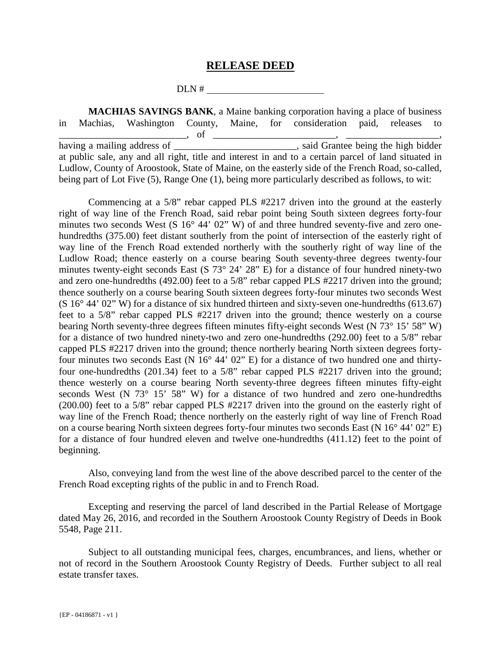#### **RELEASE DEED**

#### DLN #

 **MACHIAS SAVINGS BANK**, a Maine banking corporation having a place of business in Machias, Washington County, Maine, for consideration paid, releases to \_\_\_\_\_\_\_\_\_\_\_\_\_\_\_\_\_\_\_\_\_\_\_\_\_\_, of \_\_\_\_\_\_\_\_\_\_\_\_\_\_\_\_\_\_\_\_\_\_\_\_\_, \_\_\_\_\_\_\_\_\_\_\_\_\_\_\_\_\_\_\_, , said Grantee being the high bidder at public sale, any and all right, title and interest in and to a certain parcel of land situated in Ludlow, County of Aroostook, State of Maine, on the easterly side of the French Road, so-called, being part of Lot Five (5), Range One (1), being more particularly described as follows, to wit:

Commencing at a 5/8" rebar capped PLS #2217 driven into the ground at the easterly right of way line of the French Road, said rebar point being South sixteen degrees forty-four minutes two seconds West (S 16° 44' 02" W) of and three hundred seventy-five and zero onehundredths (375.00) feet distant southerly from the point of intersection of the easterly right of way line of the French Road extended northerly with the southerly right of way line of the Ludlow Road; thence easterly on a course bearing South seventy-three degrees twenty-four minutes twenty-eight seconds East (S 73° 24' 28" E) for a distance of four hundred ninety-two and zero one-hundredths (492.00) feet to a 5/8" rebar capped PLS #2217 driven into the ground; thence southerly on a course bearing South sixteen degrees forty-four minutes two seconds West (S 16° 44' 02" W) for a distance of six hundred thirteen and sixty-seven one-hundredths (613.67) feet to a 5/8" rebar capped PLS #2217 driven into the ground; thence westerly on a course bearing North seventy-three degrees fifteen minutes fifty-eight seconds West (N 73° 15' 58" W) for a distance of two hundred ninety-two and zero one-hundredths (292.00) feet to a 5/8" rebar capped PLS #2217 driven into the ground; thence northerly bearing North sixteen degrees fortyfour minutes two seconds East (N 16° 44' 02" E) for a distance of two hundred one and thirtyfour one-hundredths (201.34) feet to a 5/8" rebar capped PLS #2217 driven into the ground; thence westerly on a course bearing North seventy-three degrees fifteen minutes fifty-eight seconds West (N 73° 15' 58" W) for a distance of two hundred and zero one-hundredths (200.00) feet to a 5/8" rebar capped PLS #2217 driven into the ground on the easterly right of way line of the French Road; thence northerly on the easterly right of way line of French Road on a course bearing North sixteen degrees forty-four minutes two seconds East (N 16° 44' 02" E) for a distance of four hundred eleven and twelve one-hundredths (411.12) feet to the point of beginning.

Also, conveying land from the west line of the above described parcel to the center of the French Road excepting rights of the public in and to French Road.

 Excepting and reserving the parcel of land described in the Partial Release of Mortgage dated May 26, 2016, and recorded in the Southern Aroostook County Registry of Deeds in Book 5548, Page 211.

 Subject to all outstanding municipal fees, charges, encumbrances, and liens, whether or not of record in the Southern Aroostook County Registry of Deeds. Further subject to all real estate transfer taxes.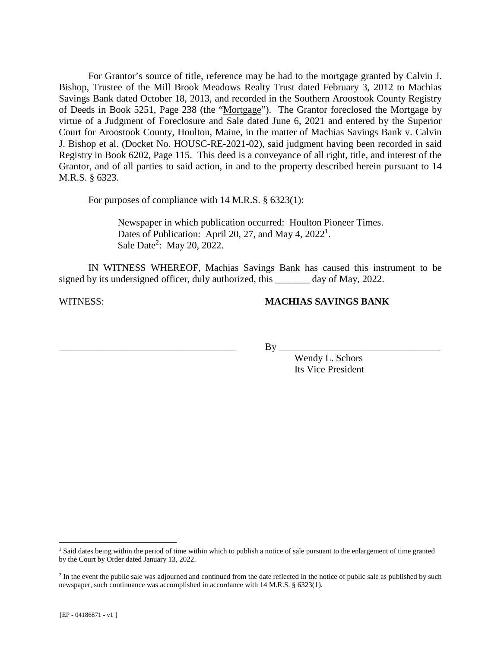For Grantor's source of title, reference may be had to the mortgage granted by Calvin J. Bishop, Trustee of the Mill Brook Meadows Realty Trust dated February 3, 2012 to Machias Savings Bank dated October 18, 2013, and recorded in the Southern Aroostook County Registry of Deeds in Book 5251, Page 238 (the "Mortgage"). The Grantor foreclosed the Mortgage by virtue of a Judgment of Foreclosure and Sale dated June 6, 2021 and entered by the Superior Court for Aroostook County, Houlton, Maine, in the matter of Machias Savings Bank v. Calvin J. Bishop et al. (Docket No. HOUSC-RE-2021-02), said judgment having been recorded in said Registry in Book 6202, Page 115. This deed is a conveyance of all right, title, and interest of the Grantor, and of all parties to said action, in and to the property described herein pursuant to 14 M.R.S. § 6323.

For purposes of compliance with 14 M.R.S. § 6323(1):

Newspaper in which publication occurred: Houlton Pioneer Times. Dates of Publication: April 20, 27, and May 4,  $2022<sup>1</sup>$ . Sale Date<sup>2</sup>: May 20, 2022.

 IN WITNESS WHEREOF, Machias Savings Bank has caused this instrument to be signed by its undersigned officer, duly authorized, this \_\_\_\_\_\_\_ day of May, 2022.

#### WITNESS: **MACHIAS SAVINGS BANK**

\_\_\_\_\_\_\_\_\_\_\_\_\_\_\_\_\_\_\_\_\_\_\_\_\_\_\_\_\_\_\_\_\_\_\_\_ By \_\_\_\_\_\_\_\_\_\_\_\_\_\_\_\_\_\_\_\_\_\_\_\_\_\_\_\_\_\_\_\_\_

 Wendy L. Schors Its Vice President

i<br>L

<sup>&</sup>lt;sup>1</sup> Said dates being within the period of time within which to publish a notice of sale pursuant to the enlargement of time granted by the Court by Order dated January 13, 2022.

<sup>&</sup>lt;sup>2</sup> In the event the public sale was adjourned and continued from the date reflected in the notice of public sale as published by such newspaper, such continuance was accomplished in accordance with 14 M.R.S. § 6323(1).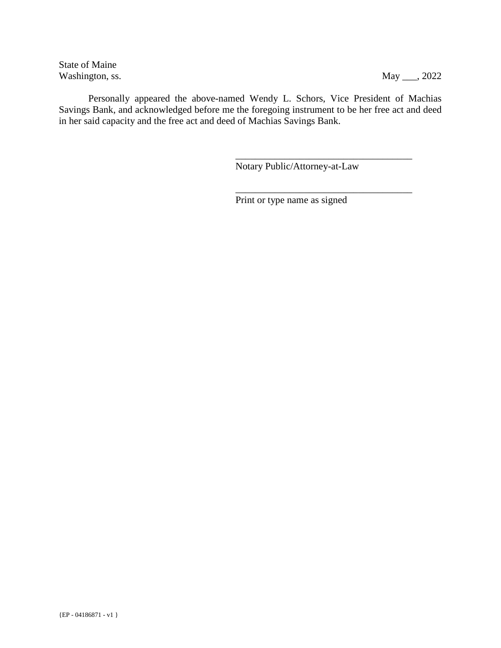State of Maine Washington, ss. May 2022

 Personally appeared the above-named Wendy L. Schors, Vice President of Machias Savings Bank, and acknowledged before me the foregoing instrument to be her free act and deed in her said capacity and the free act and deed of Machias Savings Bank.

 $\overline{\phantom{a}}$  , which is a set of the set of the set of the set of the set of the set of the set of the set of the set of the set of the set of the set of the set of the set of the set of the set of the set of the set of th

 $\overline{\phantom{a}}$  , which is a set of the set of the set of the set of the set of the set of the set of the set of the set of the set of the set of the set of the set of the set of the set of the set of the set of the set of th

Notary Public/Attorney-at-Law

Print or type name as signed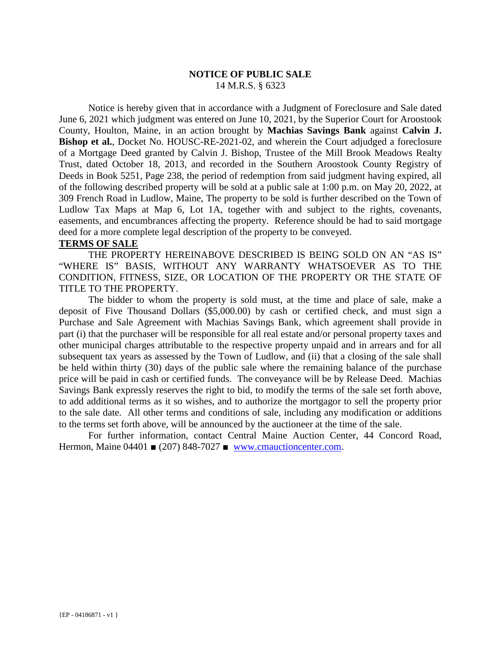#### **NOTICE OF PUBLIC SALE** 14 M.R.S. § 6323

 Notice is hereby given that in accordance with a Judgment of Foreclosure and Sale dated June 6, 2021 which judgment was entered on June 10, 2021, by the Superior Court for Aroostook County, Houlton, Maine, in an action brought by **Machias Savings Bank** against **Calvin J. Bishop et al.**, Docket No. HOUSC-RE-2021-02, and wherein the Court adjudged a foreclosure of a Mortgage Deed granted by Calvin J. Bishop, Trustee of the Mill Brook Meadows Realty Trust, dated October 18, 2013, and recorded in the Southern Aroostook County Registry of Deeds in Book 5251, Page 238, the period of redemption from said judgment having expired, all of the following described property will be sold at a public sale at 1:00 p.m. on May 20, 2022, at 309 French Road in Ludlow, Maine, The property to be sold is further described on the Town of Ludlow Tax Maps at Map 6, Lot 1A, together with and subject to the rights, covenants, easements, and encumbrances affecting the property. Reference should be had to said mortgage deed for a more complete legal description of the property to be conveyed.

#### **TERMS OF SALE**

THE PROPERTY HEREINABOVE DESCRIBED IS BEING SOLD ON AN "AS IS" "WHERE IS" BASIS, WITHOUT ANY WARRANTY WHATSOEVER AS TO THE CONDITION, FITNESS, SIZE, OR LOCATION OF THE PROPERTY OR THE STATE OF TITLE TO THE PROPERTY.

The bidder to whom the property is sold must, at the time and place of sale, make a deposit of Five Thousand Dollars (\$5,000.00) by cash or certified check, and must sign a Purchase and Sale Agreement with Machias Savings Bank, which agreement shall provide in part (i) that the purchaser will be responsible for all real estate and/or personal property taxes and other municipal charges attributable to the respective property unpaid and in arrears and for all subsequent tax years as assessed by the Town of Ludlow, and (ii) that a closing of the sale shall be held within thirty (30) days of the public sale where the remaining balance of the purchase price will be paid in cash or certified funds. The conveyance will be by Release Deed. Machias Savings Bank expressly reserves the right to bid, to modify the terms of the sale set forth above, to add additional terms as it so wishes, and to authorize the mortgagor to sell the property prior to the sale date. All other terms and conditions of sale, including any modification or additions to the terms set forth above, will be announced by the auctioneer at the time of the sale.

For further information, contact Central Maine Auction Center, 44 Concord Road, Hermon, Maine 04401 ■ (207) 848-7027 ■ www.cmauctioncenter.com.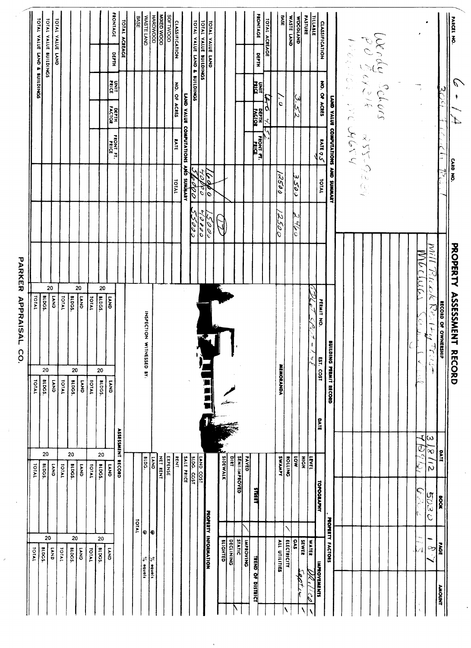|               |              | TOTAL<br><b>AALUE</b><br><b>TAND</b> | TOTAL VALUE BUILDINGS | TOTAL VALUE LAND     |                     |                      |                |               | <b>FRONTAGE</b><br>DEPTH | <b>TOTAL ACREAGE</b>     | <b>BASE</b>  | WASTE LAND               | <b>HARDWOOD</b> |                                   | <b>CLASSIFICATION</b><br>SOFTWOOD<br>MXED WOOD |                                     | TOTAL VALUE LAND & BUILDINGS | <b>TOTAL VALUE BUILDINGS</b>                                      | TOTAL VALUE LAND     |                 |                 |                      |                  | <b>FRONTAGE</b><br>DEPTH    | <b>TOTAL ACREAGE</b> |                      | BASE<br><b>WASTE LAND</b> | <b>GNY10DOM</b>          | PASTURE      | <b>TILIABLE</b>                 | CLASSIFICATION              |                                     |  |         | Wendy 2012 and<br>PUSSERSE STEP |  |                                                                                                                                      |                                         |                     | PARCEL NO.    |
|---------------|--------------|--------------------------------------|-----------------------|----------------------|---------------------|----------------------|----------------|---------------|--------------------------|--------------------------|--------------|--------------------------|-----------------|-----------------------------------|------------------------------------------------|-------------------------------------|------------------------------|-------------------------------------------------------------------|----------------------|-----------------|-----------------|----------------------|------------------|-----------------------------|----------------------|----------------------|---------------------------|--------------------------|--------------|---------------------------------|-----------------------------|-------------------------------------|--|---------|---------------------------------|--|--------------------------------------------------------------------------------------------------------------------------------------|-----------------------------------------|---------------------|---------------|
|               |              | <b>E BUILDINGS</b>                   |                       |                      |                     |                      |                |               |                          |                          |              |                          |                 |                                   | NO. OF ACRES                                   |                                     |                              |                                                                   |                      |                 |                 |                      |                  | 闢                           |                      |                      |                           |                          |              |                                 | NO. OF ACRES                |                                     |  |         |                                 |  | $\overline{\phantom{a}}$                                                                                                             |                                         | لىر                 | $\ell$        |
|               |              |                                      |                       |                      |                     |                      |                |               | <b>FACTOR</b>            |                          |              |                          |                 |                                   |                                                |                                     |                              |                                                                   |                      |                 |                 |                      |                  | <b>DEFIRE</b><br>PACIOR     | Q                    | $\mathbf{c}$         |                           | 3.52                     |              |                                 |                             |                                     |  |         |                                 |  |                                                                                                                                      |                                         |                     |               |
|               |              |                                      |                       |                      |                     |                      |                |               | FRONT FT.<br>PRICE       |                          |              |                          |                 |                                   | <b>EATE</b>                                    |                                     |                              |                                                                   |                      |                 |                 |                      |                  | FRONT FT.                   |                      |                      |                           |                          |              |                                 | <b>RATE <math>75</math></b> |                                     |  |         |                                 |  |                                                                                                                                      |                                         |                     |               |
|               |              |                                      |                       |                      |                     |                      |                |               |                          |                          |              |                          |                 |                                   | TOTAL                                          | LAND VALUE COMPUTATIONS AND SUMMARY | ما<br>000 P                  | $\frac{\partial \phi}{\partial \varphi}$                          | 0 PP 7               |                 |                 |                      |                  |                             |                      | 12500                |                           | $rac{200}{2}$            |              |                                 | <b>TOTAL</b>                | LAND VALUE COMPUTATIONS AND SUMMARY |  | RESOLAR |                                 |  |                                                                                                                                      |                                         |                     | CARD NO.      |
|               |              |                                      |                       |                      |                     |                      |                |               |                          |                          |              |                          |                 |                                   |                                                |                                     | 5500                         | 1<br>$\overline{\frac{\partial \mathbf{v}}{\partial \mathbf{v}}}$ | r,<br>o<br>O         | J               |                 |                      |                  |                             |                      | 2500                 |                           | $\frac{1}{2}$            |              |                                 |                             |                                     |  |         |                                 |  |                                                                                                                                      |                                         |                     |               |
|               |              |                                      |                       |                      |                     |                      |                |               |                          |                          |              |                          |                 |                                   |                                                |                                     |                              |                                                                   |                      |                 |                 |                      |                  |                             |                      |                      |                           |                          |              |                                 |                             |                                     |  |         |                                 |  |                                                                                                                                      | マニニス                                    |                     |               |
| <b>PARKER</b> |              |                                      | 20                    |                      |                     | 20                   |                | 20            |                          |                          |              |                          |                 |                                   |                                                |                                     |                              |                                                                   |                      |                 |                 |                      |                  |                             |                      |                      |                           |                          |              |                                 |                             |                                     |  |         |                                 |  | Muchici<br>الزبون                                                                                                                    |                                         |                     | PROPERTY      |
| APPRAISAL CO. | <b>IAIOT</b> | <b>BLDGS.</b>                        | <b>GNYT</b>           | <b>IAIOT</b>         | 810GS.              | $\sqrt{\frac{2}{5}}$ | TVIOI          | <b>BLDGS.</b> | <b>CARD</b>              |                          |              | INSPECTION WITHESSED BY: |                 |                                   |                                                |                                     |                              |                                                                   |                      |                 |                 |                      |                  |                             |                      |                      |                           |                          |              | TION.<br>12<br>б,<br>L          | PERMIT NO                   | <b>Induction</b>                    |  |         |                                 |  | $\sum_{i=1}^{n}$<br>$\mathcal{F}_{i+1}$                                                                                              | Ķ<br>$R_{\mathcal{C}}$<br>$\frac{1}{2}$ | RECORD OF OWNERSHIP | ASSESSMENT RI |
|               |              | 20                                   |                       |                      |                     | 20                   |                | 20            |                          |                          |              |                          |                 |                                   |                                                |                                     |                              |                                                                   |                      |                 |                 |                      |                  |                             |                      |                      |                           |                          |              | $\frac{\partial}{\partial t}$   | EST. COST                   |                                     |  |         |                                 |  |                                                                                                                                      | ĉ.                                      |                     | <b>ECORD</b>  |
|               | TOTAL        | <b>BLDGS.</b>                        |                       | <b>LAND</b><br>IVIOL | 810GS.              | <b>TAND</b>          | $\overline{m}$ | <b>BLDGS.</b> | <b>GNYT</b>              |                          |              |                          |                 |                                   |                                                |                                     |                              |                                                                   | i de la              |                 |                 |                      |                  |                             |                      | <b>MEMORANDA</b>     |                           |                          |              |                                 |                             | NG PERMIT RECORD                    |  |         |                                 |  | es,                                                                                                                                  |                                         |                     |               |
|               |              |                                      |                       |                      |                     |                      |                |               |                          |                          |              |                          |                 |                                   |                                                |                                     |                              |                                                                   |                      |                 |                 |                      |                  |                             |                      |                      |                           |                          |              |                                 | <b>DATE</b>                 |                                     |  |         |                                 |  | てん                                                                                                                                   |                                         |                     |               |
|               | <b>IAIOT</b> | 20<br>810GS.                         | <b>CAND</b>           | <b>IAIO1</b>         | 20<br><b>BLDGS.</b> | <b>GNYT</b>          | <b>TATAL</b>   | 20<br>80018   | GNY <sub>1</sub>         | <b>ASSESSMENT RECORD</b> |              | 810G.                    | <b>CAND</b>     | <b>NET RENT</b><br><b>EXPENSE</b> | RENT                                           |                                     | LAND COST<br>BLDG. COST      |                                                                   |                      | <b>SIDEWAIK</b> | $\frac{1}{2}$   |                      | <b>PAVED</b>     |                             |                      | SWAMPY               | <b>SOLLING</b>            | $\overline{\phantom{a}}$ | $rac{1}{2}$  | <b>LEVEL</b>                    |                             |                                     |  |         |                                 |  | $\mathcal{D}% _{M_{1},M_{2}}^{\alpha,\beta}(\varepsilon)$<br>$\infty$<br>$\ddot{\circ}$<br>$\overline{\nu}$<br>$\tilde{\mathcal{C}}$ |                                         | <b>DATE</b>         |               |
|               |              |                                      |                       |                      |                     |                      |                |               |                          |                          |              |                          |                 |                                   |                                                |                                     |                              |                                                                   |                      |                 |                 | <b>SEMI-IMPROVED</b> |                  | 当型                          |                      |                      |                           |                          |              |                                 | <b>TOPOGRAPHY</b>           |                                     |  |         |                                 |  | ς<br>$rac{5}{2}$<br>þ.                                                                                                               | $\frac{8}{2}$                           |                     |               |
|               |              |                                      |                       |                      |                     |                      |                |               |                          |                          | <b>TOTAL</b> |                          |                 |                                   |                                                |                                     |                              |                                                                   |                      |                 |                 |                      |                  |                             |                      |                      |                           |                          |              |                                 |                             |                                     |  |         |                                 |  | $\overline{C}$                                                                                                                       |                                         |                     |               |
|               | <b>IAI</b>   | BLDGS.                               | 20<br><b>GNYT</b>     | <b>TATAL</b>         | 8002                | 20<br><b>SHYT</b>    | TOTAL          | 20<br>5003    | $\sum_{i=1}^{n}$         |                          |              | $\circledcirc$           | ۱Đ              |                                   |                                                |                                     |                              |                                                                   | PROPERTY INFORMATION | <b>BLIGHTED</b> | <b>DECINING</b> | STATIC               | <b>TAPROVING</b> |                             |                      | <b>ALL UTILITIES</b> | <b>ELECTRICITY</b>        | <b>GAS</b>               | SEWER        | <b>WATER</b>                    |                             | <b>PROPERTY FACTORS</b>             |  |         |                                 |  | $\circ$                                                                                                                              |                                         | <b>PAGE</b>         |               |
|               |              |                                      |                       |                      |                     |                      |                |               |                          |                          |              | % equals                 | % equals        |                                   |                                                |                                     |                              |                                                                   |                      |                 |                 |                      |                  | <b>TREND</b><br>OF DISTRICT |                      |                      |                           |                          | <b>COTLE</b> | ž.<br>$\widetilde{\mathcal{C}}$ | <b>IMPROVEMENTS</b>         |                                     |  |         |                                 |  |                                                                                                                                      | <b>AMOUNT</b>                           |                     |               |
|               |              |                                      |                       |                      |                     |                      |                |               |                          |                          |              |                          |                 |                                   |                                                |                                     |                              |                                                                   |                      |                 |                 |                      |                  |                             |                      |                      |                           |                          |              |                                 |                             |                                     |  |         |                                 |  |                                                                                                                                      |                                         |                     |               |

l,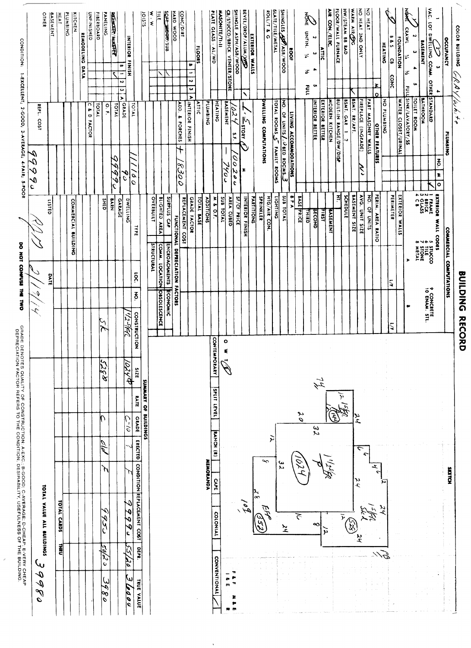| VAC. LOT DWELLING COMM.<br>NO HEAT 2ND ONLY<br>NO HEAT<br>z<br>А<br>FLOOR/WALL FURNACE<br>HW/STEAM 88 RAD<br>WARM AIRCOG<br>SLATE/TILE/METAL<br>SHINGLES AST ASB/WOOD<br>AR CON./ELBC.<br>SHINGLE ASPH/ASB/WOOD<br>BEVEL/DROP/ALUM/WOR<br><b>GB/STUCCO/BRICK VENEER/STONE</b><br>$\frac{1}{2}$<br>aus/accessives<br>MASONITE/TI-II<br>PLATE GLASS - AL/WD<br>HARD WOOD<br>CONC/DIRT<br>闫<br>PANELING<br>≶<br>≯<br><b>UNFINISHED</b><br>REACTER RECEIP<br>101515<br>Æ<br>OTHER<br>PLUMBING<br><b>FIBERBOARD</b><br>BASEMENT<br>HEAT<br>KITCHEN<br>COLOR BUILDING<br><b>CRAWL</b><br>UNFIN.<br>REMODELING<br>EXTERIOR WALLS<br>w<br>$\ddot{\phantom{0}}$<br>598<br>INTERIOR FINISH<br><b>FOUNDATION</b><br>OCCUPANCY<br><b>BASEMENT</b><br><b>HEATING</b><br><b>FLOORS</b><br>ATTIC<br><b>ROOF</b><br>$\omega$<br>س<br>r.<br>$\lesssim$<br>Ĉ<br>œ<br>œ<br><b>DATA</b><br>$\omega$<br>۰<br>٠<br>头<br>沭<br>┙<br>へタプン<br>-<br><b>CONC</b><br>N<br>Z,<br>OTHER<br>ż<br>u<br><b>Un</b><br>ក្ក<br>름<br>$\boldsymbol{\omega}$<br>$\pmb{\omega}$<br>ò<br>$\blacktriangleright$<br>$\blacktriangleright$<br><b>STANDARD</b><br><b>SINK/LAVATORY/SS</b><br><b>BATHROOM</b><br>WATER CLOSET/URINAL<br><b>TOILET ROOM</b><br>BSMT. RR/APT.<br>PART MASONRY WALLS<br>BUILT-IN RANGE/DW/DISP<br>BSMT. GAR 1 2<br>FIREPLACE (INGEADE)<br><b>DO PLUMBING</b><br>$\frac{1}{2}$<br><b>DWELLING COMPUTATIONS</b><br><b>MODERN KITCHEN</b><br>$\overline{5}$<br><b>NIERIOR BETTER</b><br>TOTAL ROOMS 5 FAMILY ROOMS<br><b>EXTERIOR BETTER</b><br>BASEMENT<br><b>HEATING</b><br>ATTIC<br>PLUMBING<br><b>INTERIOR FINISH</b><br>ADD. & PORCHES<br><b>GRADE</b><br>$\sim$ 8.0<br><b>TOTAL</b><br><b>IATOT</b><br>TOTAL<br>$\frac{1}{2}$<br>REPL.<br>1624<br>$\sqrt{2\sin\theta}$<br>LIVING ACCOMMODATIONS<br><b>COST</b><br><b>FACTOR</b><br><b>OTHER FEATURES</b><br>PLUMBING<br>$\frac{1}{2}$<br>$\ddagger$<br>C<br>99990<br>$\overline{5}$<br>O<br>6300<br>$\frac{5}{2}$<br>Ş<br>l 3<br>N<br>$\mathcal{E}_{\mathcal{O}}$<br>Ł<br>$\sigma$<br>$\overline{\phantom{a}}$<br>$\mathcal{O}$<br>i c<br>$\circ$<br>1 FRAME<br>$\begin{array}{c} 2 \text{ BRICX} \\ 3 \text{ GLAS} \\ 4 \text{ CB} \\ 6 \text{ B} \end{array}$<br>PERIM. AREA RATIO<br>EXTERIOR<br><b>BASEMENT SIZE</b><br>AVG. UNIT SIZE<br>뵑<br>NO. OF UNITS<br>PERIMETER<br>$\frac{1}{2}$<br>SCHEDULE<br>EXTERIOR WALLS<br><b>IVIOL 80S</b><br><b>BASE</b> PRICE<br>SURPLUS CAP<br>HTG/AIR CON.<br><b>TGHTING</b><br>OVERBUILT<br><b>BLIGHTED AREA</b><br>REPLACEMENT COST<br><b>MAQDE.</b><br><b>SUB TOTAL</b><br>SPRINKIER<br>AREA CUBED<br><b>SF/CF PRICE</b><br><b>INTERIOR FINISH</b><br><b>PARTITIONS</b><br>GRADE FACTOR<br>TOTAL BASE<br><b>ADDITIONS</b><br>GARAGE<br><b>RARK</b><br><b>SHED</b><br>DWELLING<br>COMMERCIAL BUILDING<br>LISTED<br><b>SECOND</b><br>FIRST<br><b>BASEMENT</b><br>대학<br>FUNCTIONAL DEPRECIATION FACTORS<br>WALL CODES<br>교<br>COMMERCIAL COMPUTATIONS<br>S<br>SITUS<br>TITLE<br>TITLE<br>SITUSCO<br>STRUCTURAL<br>ENCROACHMENTS<br>COMM. LOCATION OBSOLESCENCE<br>$\mathbf{r}$<br><b>BUILDING</b><br>ğ<br>DATE<br>$\leq$<br>9 CONCRETE<br>10 ENAM. STL.<br>ECONOMIC<br>$\boldsymbol{\xi}$<br>×<br>Ÿ.<br>CONSTRUCTION<br>113-960<br><b>RECORI</b><br>ر<br>ح<br>こ<br>CONTEMPORARY<br>o<br>z<br>Q<br>€<br>4325<br><b>P2YPD</b><br>31ZE<br>74<br>J<br>SONIGITING SO YRAMICS<br><b>SPLIT LEVEL</b><br>RATE<br>$\mathcal{E}$<br>メム<br>0<br>GMDE<br>$\frac{1}{2}$<br>32<br><b>BANCH (R)</b><br>تر<br>ERECTED CONDITION REPLACEMENT COST<br>c<br>J<br>MEMORANDA<br>u)<br>U<br><b>RETCH</b><br>n<br><b>SAPE</b><br>Ź,<br>TOTAL VALUE ALL BUILDINGS<br>$\frac{1}{2}$<br><b>TOTAL CARDS</b><br>I Skek<br>Skek<br>$\boldsymbol{\phi}$<br><b>COLONIAL</b><br><sub>ን</sub> '<br>ŕ<br>8S<br>S<br>g<br>G<br>(228)<br>∾<br>$\tilde{\mathbf{r}}$<br>¢<br>24<br>뢻<br>55/20<br>2g<br><b>DEPR.</b><br>$\widetilde{\mathcal{S}}$<br><b>CONVENTIONAL</b><br>سا<br>9<br>P<br>$\omega$<br>ري<br>ه<br><b>TRUE VALUE</b><br>m<br>000L<br>$\widetilde{\mathcal{L}}$<br>$\frac{\delta}{\delta}$<br>¥<br>÷ | <b>PARTIC RESPONSE IN A FAILURE CONSTRUCTION: A-FXC: P-GOOD: C-AXERAGE: POHEAPT: P-AFT: P-FLAT: CALLAD</b> | ₹<br>8 | 2-GOD, 3-AYERAGE, 4-FAIR, 5-POOR<br>999<br>$\frac{c}{2}$ | CONDITION: 1-mXCELLEXIT. |
|--------------------------------------------------------------------------------------------------------------------------------------------------------------------------------------------------------------------------------------------------------------------------------------------------------------------------------------------------------------------------------------------------------------------------------------------------------------------------------------------------------------------------------------------------------------------------------------------------------------------------------------------------------------------------------------------------------------------------------------------------------------------------------------------------------------------------------------------------------------------------------------------------------------------------------------------------------------------------------------------------------------------------------------------------------------------------------------------------------------------------------------------------------------------------------------------------------------------------------------------------------------------------------------------------------------------------------------------------------------------------------------------------------------------------------------------------------------------------------------------------------------------------------------------------------------------------------------------------------------------------------------------------------------------------------------------------------------------------------------------------------------------------------------------------------------------------------------------------------------------------------------------------------------------------------------------------------------------------------------------------------------------------------------------------------------------------------------------------------------------------------------------------------------------------------------------------------------------------------------------------------------------------------------------------------------------------------------------------------------------------------------------------------------------------------------------------------------------------------------------------------------------------------------------------------------------------------------------------------------------------------------------------------------------------------------------------------------------------------------------------------------------------------------------------------------------------------------------------------------------------------------------------------------------------------------------------------------------------------------------------------------------------------------------------------------------------------------------------------------------------------------------------------------------------------------------------------------------------------------------------------------------------------------------------------------------------------------------------------------------------------------------------------------------------------------------------------------------------------------------------------------------------------------------------------------------------------------------------------------------------------------------------------------------------------------------------------------------------------------------------------------------------------------------------------------------------------------------------------------------------------------------------------------------------------------------------------------------------------------------------------------------------------------------------------|------------------------------------------------------------------------------------------------------------|--------|----------------------------------------------------------|--------------------------|
|                                                                                                                                                                                                                                                                                                                                                                                                                                                                                                                                                                                                                                                                                                                                                                                                                                                                                                                                                                                                                                                                                                                                                                                                                                                                                                                                                                                                                                                                                                                                                                                                                                                                                                                                                                                                                                                                                                                                                                                                                                                                                                                                                                                                                                                                                                                                                                                                                                                                                                                                                                                                                                                                                                                                                                                                                                                                                                                                                                                                                                                                                                                                                                                                                                                                                                                                                                                                                                                                                                                                                                                                                                                                                                                                                                                                                                                                                                                                                                                                                                                        |                                                                                                            |        |                                                          |                          |
|                                                                                                                                                                                                                                                                                                                                                                                                                                                                                                                                                                                                                                                                                                                                                                                                                                                                                                                                                                                                                                                                                                                                                                                                                                                                                                                                                                                                                                                                                                                                                                                                                                                                                                                                                                                                                                                                                                                                                                                                                                                                                                                                                                                                                                                                                                                                                                                                                                                                                                                                                                                                                                                                                                                                                                                                                                                                                                                                                                                                                                                                                                                                                                                                                                                                                                                                                                                                                                                                                                                                                                                                                                                                                                                                                                                                                                                                                                                                                                                                                                                        |                                                                                                            |        |                                                          |                          |
|                                                                                                                                                                                                                                                                                                                                                                                                                                                                                                                                                                                                                                                                                                                                                                                                                                                                                                                                                                                                                                                                                                                                                                                                                                                                                                                                                                                                                                                                                                                                                                                                                                                                                                                                                                                                                                                                                                                                                                                                                                                                                                                                                                                                                                                                                                                                                                                                                                                                                                                                                                                                                                                                                                                                                                                                                                                                                                                                                                                                                                                                                                                                                                                                                                                                                                                                                                                                                                                                                                                                                                                                                                                                                                                                                                                                                                                                                                                                                                                                                                                        |                                                                                                            |        |                                                          |                          |
|                                                                                                                                                                                                                                                                                                                                                                                                                                                                                                                                                                                                                                                                                                                                                                                                                                                                                                                                                                                                                                                                                                                                                                                                                                                                                                                                                                                                                                                                                                                                                                                                                                                                                                                                                                                                                                                                                                                                                                                                                                                                                                                                                                                                                                                                                                                                                                                                                                                                                                                                                                                                                                                                                                                                                                                                                                                                                                                                                                                                                                                                                                                                                                                                                                                                                                                                                                                                                                                                                                                                                                                                                                                                                                                                                                                                                                                                                                                                                                                                                                                        |                                                                                                            |        |                                                          |                          |
|                                                                                                                                                                                                                                                                                                                                                                                                                                                                                                                                                                                                                                                                                                                                                                                                                                                                                                                                                                                                                                                                                                                                                                                                                                                                                                                                                                                                                                                                                                                                                                                                                                                                                                                                                                                                                                                                                                                                                                                                                                                                                                                                                                                                                                                                                                                                                                                                                                                                                                                                                                                                                                                                                                                                                                                                                                                                                                                                                                                                                                                                                                                                                                                                                                                                                                                                                                                                                                                                                                                                                                                                                                                                                                                                                                                                                                                                                                                                                                                                                                                        |                                                                                                            |        |                                                          |                          |
|                                                                                                                                                                                                                                                                                                                                                                                                                                                                                                                                                                                                                                                                                                                                                                                                                                                                                                                                                                                                                                                                                                                                                                                                                                                                                                                                                                                                                                                                                                                                                                                                                                                                                                                                                                                                                                                                                                                                                                                                                                                                                                                                                                                                                                                                                                                                                                                                                                                                                                                                                                                                                                                                                                                                                                                                                                                                                                                                                                                                                                                                                                                                                                                                                                                                                                                                                                                                                                                                                                                                                                                                                                                                                                                                                                                                                                                                                                                                                                                                                                                        |                                                                                                            |        |                                                          |                          |
|                                                                                                                                                                                                                                                                                                                                                                                                                                                                                                                                                                                                                                                                                                                                                                                                                                                                                                                                                                                                                                                                                                                                                                                                                                                                                                                                                                                                                                                                                                                                                                                                                                                                                                                                                                                                                                                                                                                                                                                                                                                                                                                                                                                                                                                                                                                                                                                                                                                                                                                                                                                                                                                                                                                                                                                                                                                                                                                                                                                                                                                                                                                                                                                                                                                                                                                                                                                                                                                                                                                                                                                                                                                                                                                                                                                                                                                                                                                                                                                                                                                        |                                                                                                            |        |                                                          |                          |
|                                                                                                                                                                                                                                                                                                                                                                                                                                                                                                                                                                                                                                                                                                                                                                                                                                                                                                                                                                                                                                                                                                                                                                                                                                                                                                                                                                                                                                                                                                                                                                                                                                                                                                                                                                                                                                                                                                                                                                                                                                                                                                                                                                                                                                                                                                                                                                                                                                                                                                                                                                                                                                                                                                                                                                                                                                                                                                                                                                                                                                                                                                                                                                                                                                                                                                                                                                                                                                                                                                                                                                                                                                                                                                                                                                                                                                                                                                                                                                                                                                                        |                                                                                                            |        |                                                          |                          |
|                                                                                                                                                                                                                                                                                                                                                                                                                                                                                                                                                                                                                                                                                                                                                                                                                                                                                                                                                                                                                                                                                                                                                                                                                                                                                                                                                                                                                                                                                                                                                                                                                                                                                                                                                                                                                                                                                                                                                                                                                                                                                                                                                                                                                                                                                                                                                                                                                                                                                                                                                                                                                                                                                                                                                                                                                                                                                                                                                                                                                                                                                                                                                                                                                                                                                                                                                                                                                                                                                                                                                                                                                                                                                                                                                                                                                                                                                                                                                                                                                                                        |                                                                                                            |        |                                                          |                          |
|                                                                                                                                                                                                                                                                                                                                                                                                                                                                                                                                                                                                                                                                                                                                                                                                                                                                                                                                                                                                                                                                                                                                                                                                                                                                                                                                                                                                                                                                                                                                                                                                                                                                                                                                                                                                                                                                                                                                                                                                                                                                                                                                                                                                                                                                                                                                                                                                                                                                                                                                                                                                                                                                                                                                                                                                                                                                                                                                                                                                                                                                                                                                                                                                                                                                                                                                                                                                                                                                                                                                                                                                                                                                                                                                                                                                                                                                                                                                                                                                                                                        |                                                                                                            |        |                                                          |                          |
|                                                                                                                                                                                                                                                                                                                                                                                                                                                                                                                                                                                                                                                                                                                                                                                                                                                                                                                                                                                                                                                                                                                                                                                                                                                                                                                                                                                                                                                                                                                                                                                                                                                                                                                                                                                                                                                                                                                                                                                                                                                                                                                                                                                                                                                                                                                                                                                                                                                                                                                                                                                                                                                                                                                                                                                                                                                                                                                                                                                                                                                                                                                                                                                                                                                                                                                                                                                                                                                                                                                                                                                                                                                                                                                                                                                                                                                                                                                                                                                                                                                        |                                                                                                            |        |                                                          |                          |
|                                                                                                                                                                                                                                                                                                                                                                                                                                                                                                                                                                                                                                                                                                                                                                                                                                                                                                                                                                                                                                                                                                                                                                                                                                                                                                                                                                                                                                                                                                                                                                                                                                                                                                                                                                                                                                                                                                                                                                                                                                                                                                                                                                                                                                                                                                                                                                                                                                                                                                                                                                                                                                                                                                                                                                                                                                                                                                                                                                                                                                                                                                                                                                                                                                                                                                                                                                                                                                                                                                                                                                                                                                                                                                                                                                                                                                                                                                                                                                                                                                                        |                                                                                                            |        |                                                          |                          |
|                                                                                                                                                                                                                                                                                                                                                                                                                                                                                                                                                                                                                                                                                                                                                                                                                                                                                                                                                                                                                                                                                                                                                                                                                                                                                                                                                                                                                                                                                                                                                                                                                                                                                                                                                                                                                                                                                                                                                                                                                                                                                                                                                                                                                                                                                                                                                                                                                                                                                                                                                                                                                                                                                                                                                                                                                                                                                                                                                                                                                                                                                                                                                                                                                                                                                                                                                                                                                                                                                                                                                                                                                                                                                                                                                                                                                                                                                                                                                                                                                                                        |                                                                                                            |        |                                                          |                          |
|                                                                                                                                                                                                                                                                                                                                                                                                                                                                                                                                                                                                                                                                                                                                                                                                                                                                                                                                                                                                                                                                                                                                                                                                                                                                                                                                                                                                                                                                                                                                                                                                                                                                                                                                                                                                                                                                                                                                                                                                                                                                                                                                                                                                                                                                                                                                                                                                                                                                                                                                                                                                                                                                                                                                                                                                                                                                                                                                                                                                                                                                                                                                                                                                                                                                                                                                                                                                                                                                                                                                                                                                                                                                                                                                                                                                                                                                                                                                                                                                                                                        |                                                                                                            |        |                                                          |                          |
|                                                                                                                                                                                                                                                                                                                                                                                                                                                                                                                                                                                                                                                                                                                                                                                                                                                                                                                                                                                                                                                                                                                                                                                                                                                                                                                                                                                                                                                                                                                                                                                                                                                                                                                                                                                                                                                                                                                                                                                                                                                                                                                                                                                                                                                                                                                                                                                                                                                                                                                                                                                                                                                                                                                                                                                                                                                                                                                                                                                                                                                                                                                                                                                                                                                                                                                                                                                                                                                                                                                                                                                                                                                                                                                                                                                                                                                                                                                                                                                                                                                        |                                                                                                            |        |                                                          |                          |
|                                                                                                                                                                                                                                                                                                                                                                                                                                                                                                                                                                                                                                                                                                                                                                                                                                                                                                                                                                                                                                                                                                                                                                                                                                                                                                                                                                                                                                                                                                                                                                                                                                                                                                                                                                                                                                                                                                                                                                                                                                                                                                                                                                                                                                                                                                                                                                                                                                                                                                                                                                                                                                                                                                                                                                                                                                                                                                                                                                                                                                                                                                                                                                                                                                                                                                                                                                                                                                                                                                                                                                                                                                                                                                                                                                                                                                                                                                                                                                                                                                                        |                                                                                                            |        |                                                          |                          |
|                                                                                                                                                                                                                                                                                                                                                                                                                                                                                                                                                                                                                                                                                                                                                                                                                                                                                                                                                                                                                                                                                                                                                                                                                                                                                                                                                                                                                                                                                                                                                                                                                                                                                                                                                                                                                                                                                                                                                                                                                                                                                                                                                                                                                                                                                                                                                                                                                                                                                                                                                                                                                                                                                                                                                                                                                                                                                                                                                                                                                                                                                                                                                                                                                                                                                                                                                                                                                                                                                                                                                                                                                                                                                                                                                                                                                                                                                                                                                                                                                                                        |                                                                                                            |        |                                                          |                          |
|                                                                                                                                                                                                                                                                                                                                                                                                                                                                                                                                                                                                                                                                                                                                                                                                                                                                                                                                                                                                                                                                                                                                                                                                                                                                                                                                                                                                                                                                                                                                                                                                                                                                                                                                                                                                                                                                                                                                                                                                                                                                                                                                                                                                                                                                                                                                                                                                                                                                                                                                                                                                                                                                                                                                                                                                                                                                                                                                                                                                                                                                                                                                                                                                                                                                                                                                                                                                                                                                                                                                                                                                                                                                                                                                                                                                                                                                                                                                                                                                                                                        |                                                                                                            |        |                                                          |                          |
|                                                                                                                                                                                                                                                                                                                                                                                                                                                                                                                                                                                                                                                                                                                                                                                                                                                                                                                                                                                                                                                                                                                                                                                                                                                                                                                                                                                                                                                                                                                                                                                                                                                                                                                                                                                                                                                                                                                                                                                                                                                                                                                                                                                                                                                                                                                                                                                                                                                                                                                                                                                                                                                                                                                                                                                                                                                                                                                                                                                                                                                                                                                                                                                                                                                                                                                                                                                                                                                                                                                                                                                                                                                                                                                                                                                                                                                                                                                                                                                                                                                        |                                                                                                            |        |                                                          |                          |
|                                                                                                                                                                                                                                                                                                                                                                                                                                                                                                                                                                                                                                                                                                                                                                                                                                                                                                                                                                                                                                                                                                                                                                                                                                                                                                                                                                                                                                                                                                                                                                                                                                                                                                                                                                                                                                                                                                                                                                                                                                                                                                                                                                                                                                                                                                                                                                                                                                                                                                                                                                                                                                                                                                                                                                                                                                                                                                                                                                                                                                                                                                                                                                                                                                                                                                                                                                                                                                                                                                                                                                                                                                                                                                                                                                                                                                                                                                                                                                                                                                                        |                                                                                                            |        |                                                          |                          |
|                                                                                                                                                                                                                                                                                                                                                                                                                                                                                                                                                                                                                                                                                                                                                                                                                                                                                                                                                                                                                                                                                                                                                                                                                                                                                                                                                                                                                                                                                                                                                                                                                                                                                                                                                                                                                                                                                                                                                                                                                                                                                                                                                                                                                                                                                                                                                                                                                                                                                                                                                                                                                                                                                                                                                                                                                                                                                                                                                                                                                                                                                                                                                                                                                                                                                                                                                                                                                                                                                                                                                                                                                                                                                                                                                                                                                                                                                                                                                                                                                                                        |                                                                                                            |        |                                                          |                          |
|                                                                                                                                                                                                                                                                                                                                                                                                                                                                                                                                                                                                                                                                                                                                                                                                                                                                                                                                                                                                                                                                                                                                                                                                                                                                                                                                                                                                                                                                                                                                                                                                                                                                                                                                                                                                                                                                                                                                                                                                                                                                                                                                                                                                                                                                                                                                                                                                                                                                                                                                                                                                                                                                                                                                                                                                                                                                                                                                                                                                                                                                                                                                                                                                                                                                                                                                                                                                                                                                                                                                                                                                                                                                                                                                                                                                                                                                                                                                                                                                                                                        |                                                                                                            |        |                                                          |                          |
|                                                                                                                                                                                                                                                                                                                                                                                                                                                                                                                                                                                                                                                                                                                                                                                                                                                                                                                                                                                                                                                                                                                                                                                                                                                                                                                                                                                                                                                                                                                                                                                                                                                                                                                                                                                                                                                                                                                                                                                                                                                                                                                                                                                                                                                                                                                                                                                                                                                                                                                                                                                                                                                                                                                                                                                                                                                                                                                                                                                                                                                                                                                                                                                                                                                                                                                                                                                                                                                                                                                                                                                                                                                                                                                                                                                                                                                                                                                                                                                                                                                        |                                                                                                            |        |                                                          |                          |
|                                                                                                                                                                                                                                                                                                                                                                                                                                                                                                                                                                                                                                                                                                                                                                                                                                                                                                                                                                                                                                                                                                                                                                                                                                                                                                                                                                                                                                                                                                                                                                                                                                                                                                                                                                                                                                                                                                                                                                                                                                                                                                                                                                                                                                                                                                                                                                                                                                                                                                                                                                                                                                                                                                                                                                                                                                                                                                                                                                                                                                                                                                                                                                                                                                                                                                                                                                                                                                                                                                                                                                                                                                                                                                                                                                                                                                                                                                                                                                                                                                                        |                                                                                                            |        |                                                          |                          |
|                                                                                                                                                                                                                                                                                                                                                                                                                                                                                                                                                                                                                                                                                                                                                                                                                                                                                                                                                                                                                                                                                                                                                                                                                                                                                                                                                                                                                                                                                                                                                                                                                                                                                                                                                                                                                                                                                                                                                                                                                                                                                                                                                                                                                                                                                                                                                                                                                                                                                                                                                                                                                                                                                                                                                                                                                                                                                                                                                                                                                                                                                                                                                                                                                                                                                                                                                                                                                                                                                                                                                                                                                                                                                                                                                                                                                                                                                                                                                                                                                                                        |                                                                                                            |        |                                                          |                          |
|                                                                                                                                                                                                                                                                                                                                                                                                                                                                                                                                                                                                                                                                                                                                                                                                                                                                                                                                                                                                                                                                                                                                                                                                                                                                                                                                                                                                                                                                                                                                                                                                                                                                                                                                                                                                                                                                                                                                                                                                                                                                                                                                                                                                                                                                                                                                                                                                                                                                                                                                                                                                                                                                                                                                                                                                                                                                                                                                                                                                                                                                                                                                                                                                                                                                                                                                                                                                                                                                                                                                                                                                                                                                                                                                                                                                                                                                                                                                                                                                                                                        |                                                                                                            |        |                                                          |                          |
|                                                                                                                                                                                                                                                                                                                                                                                                                                                                                                                                                                                                                                                                                                                                                                                                                                                                                                                                                                                                                                                                                                                                                                                                                                                                                                                                                                                                                                                                                                                                                                                                                                                                                                                                                                                                                                                                                                                                                                                                                                                                                                                                                                                                                                                                                                                                                                                                                                                                                                                                                                                                                                                                                                                                                                                                                                                                                                                                                                                                                                                                                                                                                                                                                                                                                                                                                                                                                                                                                                                                                                                                                                                                                                                                                                                                                                                                                                                                                                                                                                                        |                                                                                                            |        |                                                          |                          |
|                                                                                                                                                                                                                                                                                                                                                                                                                                                                                                                                                                                                                                                                                                                                                                                                                                                                                                                                                                                                                                                                                                                                                                                                                                                                                                                                                                                                                                                                                                                                                                                                                                                                                                                                                                                                                                                                                                                                                                                                                                                                                                                                                                                                                                                                                                                                                                                                                                                                                                                                                                                                                                                                                                                                                                                                                                                                                                                                                                                                                                                                                                                                                                                                                                                                                                                                                                                                                                                                                                                                                                                                                                                                                                                                                                                                                                                                                                                                                                                                                                                        |                                                                                                            |        |                                                          |                          |
|                                                                                                                                                                                                                                                                                                                                                                                                                                                                                                                                                                                                                                                                                                                                                                                                                                                                                                                                                                                                                                                                                                                                                                                                                                                                                                                                                                                                                                                                                                                                                                                                                                                                                                                                                                                                                                                                                                                                                                                                                                                                                                                                                                                                                                                                                                                                                                                                                                                                                                                                                                                                                                                                                                                                                                                                                                                                                                                                                                                                                                                                                                                                                                                                                                                                                                                                                                                                                                                                                                                                                                                                                                                                                                                                                                                                                                                                                                                                                                                                                                                        |                                                                                                            |        |                                                          |                          |
|                                                                                                                                                                                                                                                                                                                                                                                                                                                                                                                                                                                                                                                                                                                                                                                                                                                                                                                                                                                                                                                                                                                                                                                                                                                                                                                                                                                                                                                                                                                                                                                                                                                                                                                                                                                                                                                                                                                                                                                                                                                                                                                                                                                                                                                                                                                                                                                                                                                                                                                                                                                                                                                                                                                                                                                                                                                                                                                                                                                                                                                                                                                                                                                                                                                                                                                                                                                                                                                                                                                                                                                                                                                                                                                                                                                                                                                                                                                                                                                                                                                        |                                                                                                            |        |                                                          |                          |
|                                                                                                                                                                                                                                                                                                                                                                                                                                                                                                                                                                                                                                                                                                                                                                                                                                                                                                                                                                                                                                                                                                                                                                                                                                                                                                                                                                                                                                                                                                                                                                                                                                                                                                                                                                                                                                                                                                                                                                                                                                                                                                                                                                                                                                                                                                                                                                                                                                                                                                                                                                                                                                                                                                                                                                                                                                                                                                                                                                                                                                                                                                                                                                                                                                                                                                                                                                                                                                                                                                                                                                                                                                                                                                                                                                                                                                                                                                                                                                                                                                                        |                                                                                                            |        |                                                          |                          |
|                                                                                                                                                                                                                                                                                                                                                                                                                                                                                                                                                                                                                                                                                                                                                                                                                                                                                                                                                                                                                                                                                                                                                                                                                                                                                                                                                                                                                                                                                                                                                                                                                                                                                                                                                                                                                                                                                                                                                                                                                                                                                                                                                                                                                                                                                                                                                                                                                                                                                                                                                                                                                                                                                                                                                                                                                                                                                                                                                                                                                                                                                                                                                                                                                                                                                                                                                                                                                                                                                                                                                                                                                                                                                                                                                                                                                                                                                                                                                                                                                                                        |                                                                                                            |        |                                                          |                          |
|                                                                                                                                                                                                                                                                                                                                                                                                                                                                                                                                                                                                                                                                                                                                                                                                                                                                                                                                                                                                                                                                                                                                                                                                                                                                                                                                                                                                                                                                                                                                                                                                                                                                                                                                                                                                                                                                                                                                                                                                                                                                                                                                                                                                                                                                                                                                                                                                                                                                                                                                                                                                                                                                                                                                                                                                                                                                                                                                                                                                                                                                                                                                                                                                                                                                                                                                                                                                                                                                                                                                                                                                                                                                                                                                                                                                                                                                                                                                                                                                                                                        |                                                                                                            |        |                                                          |                          |
|                                                                                                                                                                                                                                                                                                                                                                                                                                                                                                                                                                                                                                                                                                                                                                                                                                                                                                                                                                                                                                                                                                                                                                                                                                                                                                                                                                                                                                                                                                                                                                                                                                                                                                                                                                                                                                                                                                                                                                                                                                                                                                                                                                                                                                                                                                                                                                                                                                                                                                                                                                                                                                                                                                                                                                                                                                                                                                                                                                                                                                                                                                                                                                                                                                                                                                                                                                                                                                                                                                                                                                                                                                                                                                                                                                                                                                                                                                                                                                                                                                                        |                                                                                                            |        |                                                          |                          |
|                                                                                                                                                                                                                                                                                                                                                                                                                                                                                                                                                                                                                                                                                                                                                                                                                                                                                                                                                                                                                                                                                                                                                                                                                                                                                                                                                                                                                                                                                                                                                                                                                                                                                                                                                                                                                                                                                                                                                                                                                                                                                                                                                                                                                                                                                                                                                                                                                                                                                                                                                                                                                                                                                                                                                                                                                                                                                                                                                                                                                                                                                                                                                                                                                                                                                                                                                                                                                                                                                                                                                                                                                                                                                                                                                                                                                                                                                                                                                                                                                                                        |                                                                                                            |        |                                                          |                          |
|                                                                                                                                                                                                                                                                                                                                                                                                                                                                                                                                                                                                                                                                                                                                                                                                                                                                                                                                                                                                                                                                                                                                                                                                                                                                                                                                                                                                                                                                                                                                                                                                                                                                                                                                                                                                                                                                                                                                                                                                                                                                                                                                                                                                                                                                                                                                                                                                                                                                                                                                                                                                                                                                                                                                                                                                                                                                                                                                                                                                                                                                                                                                                                                                                                                                                                                                                                                                                                                                                                                                                                                                                                                                                                                                                                                                                                                                                                                                                                                                                                                        |                                                                                                            |        |                                                          |                          |
|                                                                                                                                                                                                                                                                                                                                                                                                                                                                                                                                                                                                                                                                                                                                                                                                                                                                                                                                                                                                                                                                                                                                                                                                                                                                                                                                                                                                                                                                                                                                                                                                                                                                                                                                                                                                                                                                                                                                                                                                                                                                                                                                                                                                                                                                                                                                                                                                                                                                                                                                                                                                                                                                                                                                                                                                                                                                                                                                                                                                                                                                                                                                                                                                                                                                                                                                                                                                                                                                                                                                                                                                                                                                                                                                                                                                                                                                                                                                                                                                                                                        |                                                                                                            |        |                                                          |                          |
|                                                                                                                                                                                                                                                                                                                                                                                                                                                                                                                                                                                                                                                                                                                                                                                                                                                                                                                                                                                                                                                                                                                                                                                                                                                                                                                                                                                                                                                                                                                                                                                                                                                                                                                                                                                                                                                                                                                                                                                                                                                                                                                                                                                                                                                                                                                                                                                                                                                                                                                                                                                                                                                                                                                                                                                                                                                                                                                                                                                                                                                                                                                                                                                                                                                                                                                                                                                                                                                                                                                                                                                                                                                                                                                                                                                                                                                                                                                                                                                                                                                        |                                                                                                            |        |                                                          |                          |
|                                                                                                                                                                                                                                                                                                                                                                                                                                                                                                                                                                                                                                                                                                                                                                                                                                                                                                                                                                                                                                                                                                                                                                                                                                                                                                                                                                                                                                                                                                                                                                                                                                                                                                                                                                                                                                                                                                                                                                                                                                                                                                                                                                                                                                                                                                                                                                                                                                                                                                                                                                                                                                                                                                                                                                                                                                                                                                                                                                                                                                                                                                                                                                                                                                                                                                                                                                                                                                                                                                                                                                                                                                                                                                                                                                                                                                                                                                                                                                                                                                                        |                                                                                                            |        |                                                          |                          |
|                                                                                                                                                                                                                                                                                                                                                                                                                                                                                                                                                                                                                                                                                                                                                                                                                                                                                                                                                                                                                                                                                                                                                                                                                                                                                                                                                                                                                                                                                                                                                                                                                                                                                                                                                                                                                                                                                                                                                                                                                                                                                                                                                                                                                                                                                                                                                                                                                                                                                                                                                                                                                                                                                                                                                                                                                                                                                                                                                                                                                                                                                                                                                                                                                                                                                                                                                                                                                                                                                                                                                                                                                                                                                                                                                                                                                                                                                                                                                                                                                                                        |                                                                                                            |        |                                                          |                          |
|                                                                                                                                                                                                                                                                                                                                                                                                                                                                                                                                                                                                                                                                                                                                                                                                                                                                                                                                                                                                                                                                                                                                                                                                                                                                                                                                                                                                                                                                                                                                                                                                                                                                                                                                                                                                                                                                                                                                                                                                                                                                                                                                                                                                                                                                                                                                                                                                                                                                                                                                                                                                                                                                                                                                                                                                                                                                                                                                                                                                                                                                                                                                                                                                                                                                                                                                                                                                                                                                                                                                                                                                                                                                                                                                                                                                                                                                                                                                                                                                                                                        |                                                                                                            |        |                                                          |                          |
|                                                                                                                                                                                                                                                                                                                                                                                                                                                                                                                                                                                                                                                                                                                                                                                                                                                                                                                                                                                                                                                                                                                                                                                                                                                                                                                                                                                                                                                                                                                                                                                                                                                                                                                                                                                                                                                                                                                                                                                                                                                                                                                                                                                                                                                                                                                                                                                                                                                                                                                                                                                                                                                                                                                                                                                                                                                                                                                                                                                                                                                                                                                                                                                                                                                                                                                                                                                                                                                                                                                                                                                                                                                                                                                                                                                                                                                                                                                                                                                                                                                        |                                                                                                            |        |                                                          |                          |
|                                                                                                                                                                                                                                                                                                                                                                                                                                                                                                                                                                                                                                                                                                                                                                                                                                                                                                                                                                                                                                                                                                                                                                                                                                                                                                                                                                                                                                                                                                                                                                                                                                                                                                                                                                                                                                                                                                                                                                                                                                                                                                                                                                                                                                                                                                                                                                                                                                                                                                                                                                                                                                                                                                                                                                                                                                                                                                                                                                                                                                                                                                                                                                                                                                                                                                                                                                                                                                                                                                                                                                                                                                                                                                                                                                                                                                                                                                                                                                                                                                                        |                                                                                                            |        |                                                          |                          |
|                                                                                                                                                                                                                                                                                                                                                                                                                                                                                                                                                                                                                                                                                                                                                                                                                                                                                                                                                                                                                                                                                                                                                                                                                                                                                                                                                                                                                                                                                                                                                                                                                                                                                                                                                                                                                                                                                                                                                                                                                                                                                                                                                                                                                                                                                                                                                                                                                                                                                                                                                                                                                                                                                                                                                                                                                                                                                                                                                                                                                                                                                                                                                                                                                                                                                                                                                                                                                                                                                                                                                                                                                                                                                                                                                                                                                                                                                                                                                                                                                                                        |                                                                                                            |        |                                                          |                          |
|                                                                                                                                                                                                                                                                                                                                                                                                                                                                                                                                                                                                                                                                                                                                                                                                                                                                                                                                                                                                                                                                                                                                                                                                                                                                                                                                                                                                                                                                                                                                                                                                                                                                                                                                                                                                                                                                                                                                                                                                                                                                                                                                                                                                                                                                                                                                                                                                                                                                                                                                                                                                                                                                                                                                                                                                                                                                                                                                                                                                                                                                                                                                                                                                                                                                                                                                                                                                                                                                                                                                                                                                                                                                                                                                                                                                                                                                                                                                                                                                                                                        |                                                                                                            |        |                                                          |                          |
|                                                                                                                                                                                                                                                                                                                                                                                                                                                                                                                                                                                                                                                                                                                                                                                                                                                                                                                                                                                                                                                                                                                                                                                                                                                                                                                                                                                                                                                                                                                                                                                                                                                                                                                                                                                                                                                                                                                                                                                                                                                                                                                                                                                                                                                                                                                                                                                                                                                                                                                                                                                                                                                                                                                                                                                                                                                                                                                                                                                                                                                                                                                                                                                                                                                                                                                                                                                                                                                                                                                                                                                                                                                                                                                                                                                                                                                                                                                                                                                                                                                        |                                                                                                            |        |                                                          |                          |
|                                                                                                                                                                                                                                                                                                                                                                                                                                                                                                                                                                                                                                                                                                                                                                                                                                                                                                                                                                                                                                                                                                                                                                                                                                                                                                                                                                                                                                                                                                                                                                                                                                                                                                                                                                                                                                                                                                                                                                                                                                                                                                                                                                                                                                                                                                                                                                                                                                                                                                                                                                                                                                                                                                                                                                                                                                                                                                                                                                                                                                                                                                                                                                                                                                                                                                                                                                                                                                                                                                                                                                                                                                                                                                                                                                                                                                                                                                                                                                                                                                                        |                                                                                                            |        |                                                          |                          |
|                                                                                                                                                                                                                                                                                                                                                                                                                                                                                                                                                                                                                                                                                                                                                                                                                                                                                                                                                                                                                                                                                                                                                                                                                                                                                                                                                                                                                                                                                                                                                                                                                                                                                                                                                                                                                                                                                                                                                                                                                                                                                                                                                                                                                                                                                                                                                                                                                                                                                                                                                                                                                                                                                                                                                                                                                                                                                                                                                                                                                                                                                                                                                                                                                                                                                                                                                                                                                                                                                                                                                                                                                                                                                                                                                                                                                                                                                                                                                                                                                                                        |                                                                                                            |        |                                                          |                          |
|                                                                                                                                                                                                                                                                                                                                                                                                                                                                                                                                                                                                                                                                                                                                                                                                                                                                                                                                                                                                                                                                                                                                                                                                                                                                                                                                                                                                                                                                                                                                                                                                                                                                                                                                                                                                                                                                                                                                                                                                                                                                                                                                                                                                                                                                                                                                                                                                                                                                                                                                                                                                                                                                                                                                                                                                                                                                                                                                                                                                                                                                                                                                                                                                                                                                                                                                                                                                                                                                                                                                                                                                                                                                                                                                                                                                                                                                                                                                                                                                                                                        |                                                                                                            |        |                                                          |                          |
|                                                                                                                                                                                                                                                                                                                                                                                                                                                                                                                                                                                                                                                                                                                                                                                                                                                                                                                                                                                                                                                                                                                                                                                                                                                                                                                                                                                                                                                                                                                                                                                                                                                                                                                                                                                                                                                                                                                                                                                                                                                                                                                                                                                                                                                                                                                                                                                                                                                                                                                                                                                                                                                                                                                                                                                                                                                                                                                                                                                                                                                                                                                                                                                                                                                                                                                                                                                                                                                                                                                                                                                                                                                                                                                                                                                                                                                                                                                                                                                                                                                        |                                                                                                            |        |                                                          |                          |
|                                                                                                                                                                                                                                                                                                                                                                                                                                                                                                                                                                                                                                                                                                                                                                                                                                                                                                                                                                                                                                                                                                                                                                                                                                                                                                                                                                                                                                                                                                                                                                                                                                                                                                                                                                                                                                                                                                                                                                                                                                                                                                                                                                                                                                                                                                                                                                                                                                                                                                                                                                                                                                                                                                                                                                                                                                                                                                                                                                                                                                                                                                                                                                                                                                                                                                                                                                                                                                                                                                                                                                                                                                                                                                                                                                                                                                                                                                                                                                                                                                                        |                                                                                                            |        |                                                          |                          |
|                                                                                                                                                                                                                                                                                                                                                                                                                                                                                                                                                                                                                                                                                                                                                                                                                                                                                                                                                                                                                                                                                                                                                                                                                                                                                                                                                                                                                                                                                                                                                                                                                                                                                                                                                                                                                                                                                                                                                                                                                                                                                                                                                                                                                                                                                                                                                                                                                                                                                                                                                                                                                                                                                                                                                                                                                                                                                                                                                                                                                                                                                                                                                                                                                                                                                                                                                                                                                                                                                                                                                                                                                                                                                                                                                                                                                                                                                                                                                                                                                                                        |                                                                                                            |        |                                                          |                          |
|                                                                                                                                                                                                                                                                                                                                                                                                                                                                                                                                                                                                                                                                                                                                                                                                                                                                                                                                                                                                                                                                                                                                                                                                                                                                                                                                                                                                                                                                                                                                                                                                                                                                                                                                                                                                                                                                                                                                                                                                                                                                                                                                                                                                                                                                                                                                                                                                                                                                                                                                                                                                                                                                                                                                                                                                                                                                                                                                                                                                                                                                                                                                                                                                                                                                                                                                                                                                                                                                                                                                                                                                                                                                                                                                                                                                                                                                                                                                                                                                                                                        |                                                                                                            |        |                                                          |                          |
|                                                                                                                                                                                                                                                                                                                                                                                                                                                                                                                                                                                                                                                                                                                                                                                                                                                                                                                                                                                                                                                                                                                                                                                                                                                                                                                                                                                                                                                                                                                                                                                                                                                                                                                                                                                                                                                                                                                                                                                                                                                                                                                                                                                                                                                                                                                                                                                                                                                                                                                                                                                                                                                                                                                                                                                                                                                                                                                                                                                                                                                                                                                                                                                                                                                                                                                                                                                                                                                                                                                                                                                                                                                                                                                                                                                                                                                                                                                                                                                                                                                        |                                                                                                            |        |                                                          |                          |
|                                                                                                                                                                                                                                                                                                                                                                                                                                                                                                                                                                                                                                                                                                                                                                                                                                                                                                                                                                                                                                                                                                                                                                                                                                                                                                                                                                                                                                                                                                                                                                                                                                                                                                                                                                                                                                                                                                                                                                                                                                                                                                                                                                                                                                                                                                                                                                                                                                                                                                                                                                                                                                                                                                                                                                                                                                                                                                                                                                                                                                                                                                                                                                                                                                                                                                                                                                                                                                                                                                                                                                                                                                                                                                                                                                                                                                                                                                                                                                                                                                                        |                                                                                                            |        |                                                          |                          |

 $\hat{\mathbf{r}}$ 

**CONSTRUCTION ENGINEERS TO THE CONDITION. DESIRABILITY, USEFULNEES OF THE BULDING.**<br>DEPRECIATION FACTOR REFERS TO THE CONDITION. DESIRABILITY, USEFULNESS OF THE BULDING.

ł

 $\ddot{\phantom{0}}$ **ROUGH DIE**